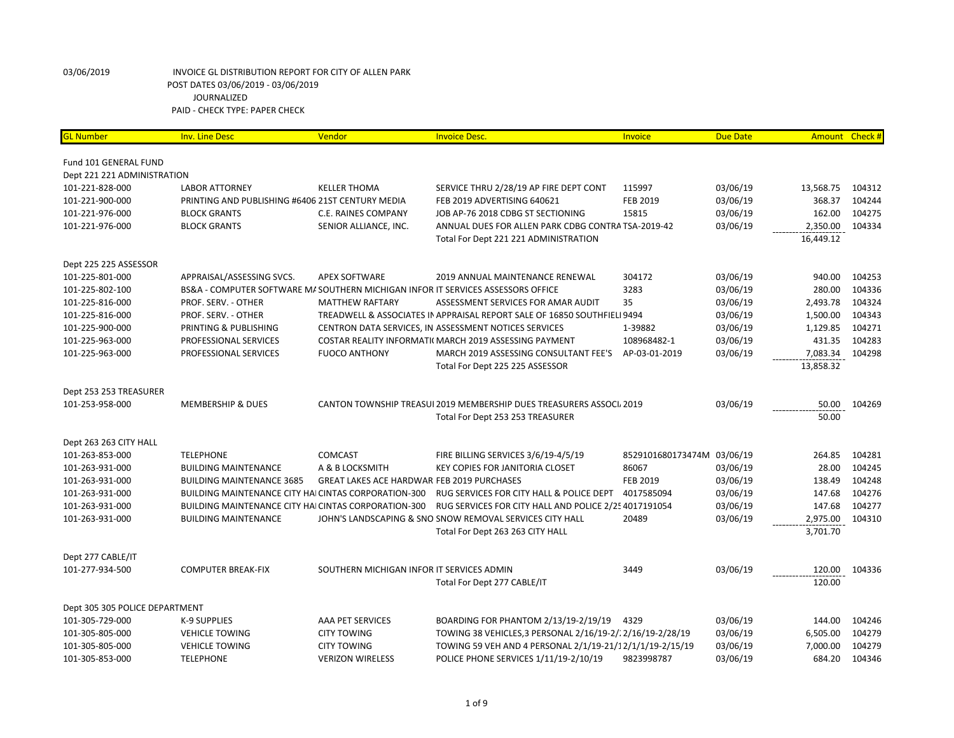| <b>GL Number</b>               | <b>Inv. Line Desc</b>                                                           | Vendor                                            | <b>Invoice Desc.</b>                                                     | Invoice                    | <b>Due Date</b> | Amount Check # |        |
|--------------------------------|---------------------------------------------------------------------------------|---------------------------------------------------|--------------------------------------------------------------------------|----------------------------|-----------------|----------------|--------|
|                                |                                                                                 |                                                   |                                                                          |                            |                 |                |        |
| Fund 101 GENERAL FUND          |                                                                                 |                                                   |                                                                          |                            |                 |                |        |
| Dept 221 221 ADMINISTRATION    |                                                                                 |                                                   |                                                                          |                            |                 |                |        |
| 101-221-828-000                | <b>LABOR ATTORNEY</b>                                                           | <b>KELLER THOMA</b>                               | SERVICE THRU 2/28/19 AP FIRE DEPT CONT                                   | 115997                     | 03/06/19        | 13,568.75      | 104312 |
| 101-221-900-000                | PRINTING AND PUBLISHING #6406 21ST CENTURY MEDIA                                |                                                   | FEB 2019 ADVERTISING 640621                                              | FEB 2019                   | 03/06/19        | 368.37         | 104244 |
| 101-221-976-000                | <b>BLOCK GRANTS</b>                                                             | <b>C.E. RAINES COMPANY</b>                        | JOB AP-76 2018 CDBG ST SECTIONING                                        | 15815                      | 03/06/19        | 162.00         | 104275 |
| 101-221-976-000                | <b>BLOCK GRANTS</b>                                                             | SENIOR ALLIANCE, INC.                             | ANNUAL DUES FOR ALLEN PARK CDBG CONTRA TSA-2019-42                       |                            | 03/06/19        | 2,350.00       | 104334 |
|                                |                                                                                 |                                                   | Total For Dept 221 221 ADMINISTRATION                                    |                            |                 | 16,449.12      |        |
| Dept 225 225 ASSESSOR          |                                                                                 |                                                   |                                                                          |                            |                 |                |        |
| 101-225-801-000                | APPRAISAL/ASSESSING SVCS.                                                       | <b>APEX SOFTWARE</b>                              | 2019 ANNUAL MAINTENANCE RENEWAL                                          | 304172                     | 03/06/19        | 940.00         | 104253 |
| 101-225-802-100                | BS&A - COMPUTER SOFTWARE MASOUTHERN MICHIGAN INFOR IT SERVICES ASSESSORS OFFICE |                                                   |                                                                          | 3283                       | 03/06/19        | 280.00         | 104336 |
|                                |                                                                                 |                                                   | ASSESSMENT SERVICES FOR AMAR AUDIT                                       | 35                         | 03/06/19        | 2,493.78       | 104324 |
| 101-225-816-000                | PROF. SERV. - OTHER                                                             | <b>MATTHEW RAFTARY</b>                            |                                                                          |                            |                 |                |        |
| 101-225-816-000                | PROF. SERV. - OTHER                                                             |                                                   | TREADWELL & ASSOCIATES IN APPRAISAL REPORT SALE OF 16850 SOUTHFIELI 9494 |                            | 03/06/19        | 1,500.00       | 104343 |
| 101-225-900-000                | PRINTING & PUBLISHING                                                           |                                                   | CENTRON DATA SERVICES, IN ASSESSMENT NOTICES SERVICES                    | 1-39882                    | 03/06/19        | 1,129.85       | 104271 |
| 101-225-963-000                | PROFESSIONAL SERVICES                                                           |                                                   | COSTAR REALITY INFORMATI( MARCH 2019 ASSESSING PAYMENT                   | 108968482-1                | 03/06/19        | 431.35         | 104283 |
| 101-225-963-000                | PROFESSIONAL SERVICES                                                           | <b>FUOCO ANTHONY</b>                              | MARCH 2019 ASSESSING CONSULTANT FEE'S                                    | AP-03-01-2019              | 03/06/19        | 7,083.34       | 104298 |
|                                |                                                                                 |                                                   | Total For Dept 225 225 ASSESSOR                                          |                            |                 | 13,858.32      |        |
| Dept 253 253 TREASURER         |                                                                                 |                                                   |                                                                          |                            |                 |                |        |
| 101-253-958-000                | <b>MEMBERSHIP &amp; DUES</b>                                                    |                                                   | CANTON TOWNSHIP TREASUI 2019 MEMBERSHIP DUES TREASURERS ASSOCI, 2019     |                            | 03/06/19        | 50.00          | 104269 |
|                                |                                                                                 |                                                   | Total For Dept 253 253 TREASURER                                         |                            |                 | 50.00          |        |
| Dept 263 263 CITY HALL         |                                                                                 |                                                   |                                                                          |                            |                 |                |        |
| 101-263-853-000                | <b>TELEPHONE</b>                                                                | <b>COMCAST</b>                                    | FIRE BILLING SERVICES 3/6/19-4/5/19                                      | 8529101680173474M 03/06/19 |                 | 264.85         | 104281 |
| 101-263-931-000                | <b>BUILDING MAINTENANCE</b>                                                     | A & B LOCKSMITH                                   | KEY COPIES FOR JANITORIA CLOSET                                          | 86067                      | 03/06/19        | 28.00          | 104245 |
| 101-263-931-000                | <b>BUILDING MAINTENANCE 3685</b>                                                | <b>GREAT LAKES ACE HARDWAR FEB 2019 PURCHASES</b> |                                                                          | <b>FEB 2019</b>            | 03/06/19        | 138.49         | 104248 |
| 101-263-931-000                | BUILDING MAINTENANCE CITY HAI CINTAS CORPORATION-300                            |                                                   | RUG SERVICES FOR CITY HALL & POLICE DEPT                                 | 4017585094                 | 03/06/19        | 147.68         | 104276 |
| 101-263-931-000                | <b>BUILDING MAINTENANCE CITY HAI CINTAS CORPORATION-300</b>                     |                                                   | RUG SERVICES FOR CITY HALL AND POLICE 2/25 4017191054                    |                            | 03/06/19        | 147.68         | 104277 |
| 101-263-931-000                | <b>BUILDING MAINTENANCE</b>                                                     |                                                   | JOHN'S LANDSCAPING & SNO SNOW REMOVAL SERVICES CITY HALL                 | 20489                      | 03/06/19        | 2,975.00       | 104310 |
|                                |                                                                                 |                                                   | Total For Dept 263 263 CITY HALL                                         |                            |                 | 3,701.70       |        |
|                                |                                                                                 |                                                   |                                                                          |                            |                 |                |        |
| Dept 277 CABLE/IT              |                                                                                 |                                                   |                                                                          |                            |                 |                |        |
| 101-277-934-500                | <b>COMPUTER BREAK-FIX</b>                                                       | SOUTHERN MICHIGAN INFOR IT SERVICES ADMIN         |                                                                          | 3449                       | 03/06/19        | 120.00         | 104336 |
|                                |                                                                                 |                                                   | Total For Dept 277 CABLE/IT                                              |                            |                 | 120.00         |        |
| Dept 305 305 POLICE DEPARTMENT |                                                                                 |                                                   |                                                                          |                            |                 |                |        |
| 101-305-729-000                | <b>K-9 SUPPLIES</b>                                                             | <b>AAA PET SERVICES</b>                           | BOARDING FOR PHANTOM 2/13/19-2/19/19                                     | 4329                       | 03/06/19        | 144.00         | 104246 |
| 101-305-805-000                | <b>VEHICLE TOWING</b>                                                           | <b>CITY TOWING</b>                                | TOWING 38 VEHICLES, 3 PERSONAL 2/16/19-2/: 2/16/19-2/28/19               |                            | 03/06/19        | 6,505.00       | 104279 |
| 101-305-805-000                | <b>VEHICLE TOWING</b>                                                           | <b>CITY TOWING</b>                                | TOWING 59 VEH AND 4 PERSONAL 2/1/19-21/12/1/1/19-2/15/19                 |                            | 03/06/19        | 7,000.00       | 104279 |
| 101-305-853-000                | <b>TELEPHONE</b>                                                                | <b>VERIZON WIRELESS</b>                           | POLICE PHONE SERVICES 1/11/19-2/10/19                                    | 9823998787                 | 03/06/19        | 684.20         | 104346 |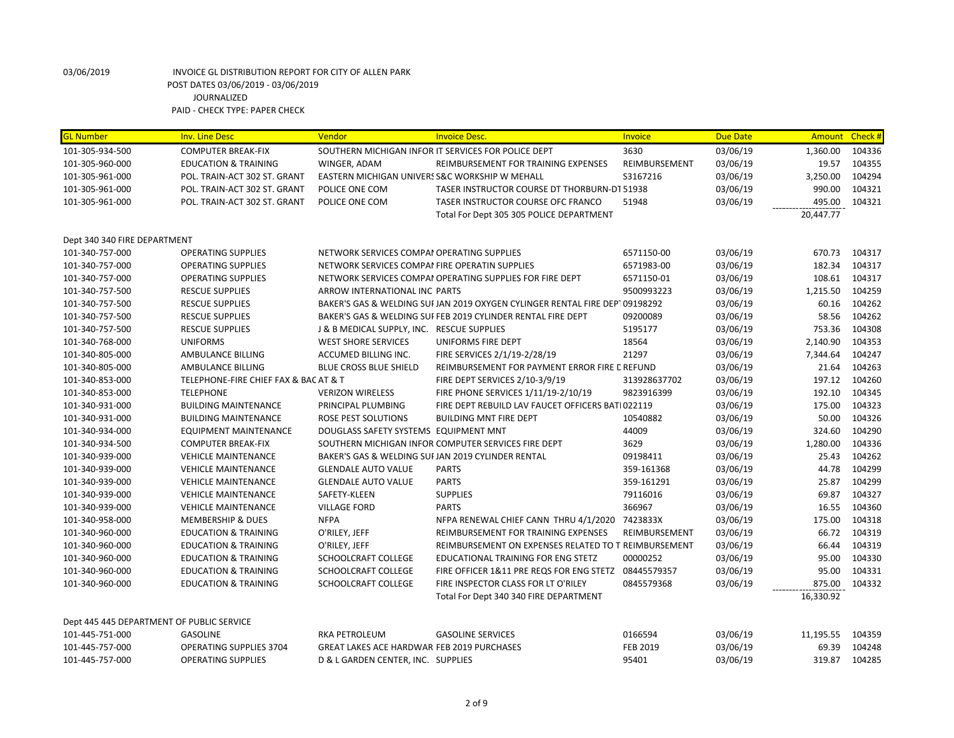| <b>GL Number</b>                          | <b>Inv. Line Desc</b>                 | Vendor                                             | <b>Invoice Desc.</b>                                                         | Invoice       | <b>Due Date</b> |           | Amount Check # |
|-------------------------------------------|---------------------------------------|----------------------------------------------------|------------------------------------------------------------------------------|---------------|-----------------|-----------|----------------|
| 101-305-934-500                           | <b>COMPUTER BREAK-FIX</b>             |                                                    | SOUTHERN MICHIGAN INFOR IT SERVICES FOR POLICE DEPT                          | 3630          | 03/06/19        | 1,360.00  | 104336         |
| 101-305-960-000                           | <b>EDUCATION &amp; TRAINING</b>       | WINGER, ADAM                                       | REIMBURSEMENT FOR TRAINING EXPENSES                                          | REIMBURSEMENT | 03/06/19        | 19.57     | 104355         |
| 101-305-961-000                           | POL. TRAIN-ACT 302 ST. GRANT          | EASTERN MICHIGAN UNIVERS S&C WORKSHIP W MEHALL     |                                                                              | S3167216      | 03/06/19        | 3,250.00  | 104294         |
| 101-305-961-000                           | POL. TRAIN-ACT 302 ST. GRANT          | POLICE ONE COM                                     | TASER INSTRUCTOR COURSE DT THORBURN-DT 51938                                 |               | 03/06/19        | 990.00    | 104321         |
| 101-305-961-000                           | POL. TRAIN-ACT 302 ST. GRANT          | POLICE ONE COM                                     | TASER INSTRUCTOR COURSE OFC FRANCO                                           | 51948         | 03/06/19        | 495.00    | 104321         |
|                                           |                                       |                                                    | Total For Dept 305 305 POLICE DEPARTMENT                                     |               |                 | 20,447.77 |                |
|                                           |                                       |                                                    |                                                                              |               |                 |           |                |
| Dept 340 340 FIRE DEPARTMENT              |                                       |                                                    |                                                                              |               |                 |           |                |
| 101-340-757-000                           | <b>OPERATING SUPPLIES</b>             | NETWORK SERVICES COMPAI OPERATING SUPPLIES         |                                                                              | 6571150-00    | 03/06/19        | 670.73    | 104317         |
| 101-340-757-000                           | <b>OPERATING SUPPLIES</b>             | NETWORK SERVICES COMPAI FIRE OPERATIN SUPPLIES     |                                                                              | 6571983-00    | 03/06/19        | 182.34    | 104317         |
| 101-340-757-000                           | <b>OPERATING SUPPLIES</b>             |                                                    | NETWORK SERVICES COMPAI OPERATING SUPPLIES FOR FIRE DEPT                     | 6571150-01    | 03/06/19        | 108.61    | 104317         |
| 101-340-757-500                           | <b>RESCUE SUPPLIES</b>                | ARROW INTERNATIONAL INC PARTS                      |                                                                              | 9500993223    | 03/06/19        | 1,215.50  | 104259         |
| 101-340-757-500                           | <b>RESCUE SUPPLIES</b>                |                                                    | BAKER'S GAS & WELDING SUI JAN 2019 OXYGEN CYLINGER RENTAL FIRE DEPT 09198292 |               | 03/06/19        | 60.16     | 104262         |
| 101-340-757-500                           | <b>RESCUE SUPPLIES</b>                |                                                    | BAKER'S GAS & WELDING SUI FEB 2019 CYLINDER RENTAL FIRE DEPT                 | 09200089      | 03/06/19        | 58.56     | 104262         |
| 101-340-757-500                           | <b>RESCUE SUPPLIES</b>                | J & B MEDICAL SUPPLY, INC. RESCUE SUPPLIES         |                                                                              | 5195177       | 03/06/19        | 753.36    | 104308         |
| 101-340-768-000                           | <b>UNIFORMS</b>                       | <b>WEST SHORE SERVICES</b>                         | UNIFORMS FIRE DEPT                                                           | 18564         | 03/06/19        | 2,140.90  | 104353         |
| 101-340-805-000                           | AMBULANCE BILLING                     | ACCUMED BILLING INC.                               | FIRE SERVICES 2/1/19-2/28/19                                                 | 21297         | 03/06/19        | 7,344.64  | 104247         |
| 101-340-805-000                           | AMBULANCE BILLING                     | BLUE CROSS BLUE SHIELD                             | REIMBURSEMENT FOR PAYMENT ERROR FIRE C REFUND                                |               | 03/06/19        | 21.64     | 104263         |
| 101-340-853-000                           | TELEPHONE-FIRE CHIEF FAX & BAC AT & T |                                                    | FIRE DEPT SERVICES 2/10-3/9/19                                               | 313928637702  | 03/06/19        | 197.12    | 104260         |
| 101-340-853-000                           | <b>TELEPHONE</b>                      | <b>VERIZON WIRELESS</b>                            | FIRE PHONE SERVICES 1/11/19-2/10/19                                          | 9823916399    | 03/06/19        | 192.10    | 104345         |
| 101-340-931-000                           | <b>BUILDING MAINTENANCE</b>           | PRINCIPAL PLUMBING                                 | FIRE DEPT REBUILD LAV FAUCET OFFICERS BATI022119                             |               | 03/06/19        | 175.00    | 104323         |
| 101-340-931-000                           | <b>BUILDING MAINTENANCE</b>           | ROSE PEST SOLUTIONS                                | <b>BUILDING MNT FIRE DEPT</b>                                                | 10540882      | 03/06/19        | 50.00     | 104326         |
| 101-340-934-000                           | <b>EQUIPMENT MAINTENANCE</b>          | DOUGLASS SAFETY SYSTEMS EQUIPMENT MNT              |                                                                              | 44009         | 03/06/19        | 324.60    | 104290         |
| 101-340-934-500                           | <b>COMPUTER BREAK-FIX</b>             |                                                    | SOUTHERN MICHIGAN INFOR COMPUTER SERVICES FIRE DEPT                          | 3629          | 03/06/19        | 1,280.00  | 104336         |
| 101-340-939-000                           | <b>VEHICLE MAINTENANCE</b>            | BAKER'S GAS & WELDING SUI JAN 2019 CYLINDER RENTAL |                                                                              | 09198411      | 03/06/19        | 25.43     | 104262         |
| 101-340-939-000                           | <b>VEHICLE MAINTENANCE</b>            | <b>GLENDALE AUTO VALUE</b>                         | <b>PARTS</b>                                                                 | 359-161368    | 03/06/19        | 44.78     | 104299         |
| 101-340-939-000                           | <b>VEHICLE MAINTENANCE</b>            | <b>GLENDALE AUTO VALUE</b>                         | <b>PARTS</b>                                                                 | 359-161291    | 03/06/19        | 25.87     | 104299         |
| 101-340-939-000                           | <b>VEHICLE MAINTENANCE</b>            | SAFETY-KLEEN                                       | <b>SUPPLIES</b>                                                              | 79116016      | 03/06/19        | 69.87     | 104327         |
| 101-340-939-000                           | <b>VEHICLE MAINTENANCE</b>            | <b>VILLAGE FORD</b>                                | <b>PARTS</b>                                                                 | 366967        | 03/06/19        | 16.55     | 104360         |
| 101-340-958-000                           | <b>MEMBERSHIP &amp; DUES</b>          | <b>NFPA</b>                                        | NFPA RENEWAL CHIEF CANN THRU 4/1/2020                                        | 7423833X      | 03/06/19        | 175.00    | 104318         |
| 101-340-960-000                           | <b>EDUCATION &amp; TRAINING</b>       | O'RILEY, JEFF                                      | REIMBURSEMENT FOR TRAINING EXPENSES                                          | REIMBURSEMENT | 03/06/19        | 66.72     | 104319         |
| 101-340-960-000                           | <b>EDUCATION &amp; TRAINING</b>       | O'RILEY, JEFF                                      | REIMBURSEMENT ON EXPENSES RELATED TO T REIMBURSEMENT                         |               | 03/06/19        | 66.44     | 104319         |
| 101-340-960-000                           | <b>EDUCATION &amp; TRAINING</b>       | SCHOOLCRAFT COLLEGE                                | EDUCATIONAL TRAINING FOR ENG STETZ                                           | 00000252      | 03/06/19        | 95.00     | 104330         |
| 101-340-960-000                           | <b>EDUCATION &amp; TRAINING</b>       | SCHOOLCRAFT COLLEGE                                | FIRE OFFICER 1&11 PRE REQS FOR ENG STETZ 08445579357                         |               | 03/06/19        | 95.00     | 104331         |
| 101-340-960-000                           | <b>EDUCATION &amp; TRAINING</b>       | SCHOOLCRAFT COLLEGE                                | FIRE INSPECTOR CLASS FOR LT O'RILEY                                          | 0845579368    | 03/06/19        | 875.00    | 104332         |
|                                           |                                       |                                                    | Total For Dept 340 340 FIRE DEPARTMENT                                       |               |                 | 16,330.92 |                |
|                                           |                                       |                                                    |                                                                              |               |                 |           |                |
| Dept 445 445 DEPARTMENT OF PUBLIC SERVICE |                                       |                                                    |                                                                              |               |                 |           |                |
| 101-445-751-000                           | <b>GASOLINE</b>                       | <b>RKA PETROLEUM</b>                               | <b>GASOLINE SERVICES</b>                                                     | 0166594       | 03/06/19        | 11,195.55 | 104359         |
| 101-445-757-000                           | <b>OPERATING SUPPLIES 3704</b>        | <b>GREAT LAKES ACE HARDWAR FEB 2019 PURCHASES</b>  |                                                                              | FEB 2019      | 03/06/19        | 69.39     | 104248         |
| 101-445-757-000                           | <b>OPERATING SUPPLIES</b>             | D & L GARDEN CENTER, INC. SUPPLIES                 |                                                                              | 95401         | 03/06/19        | 319.87    | 104285         |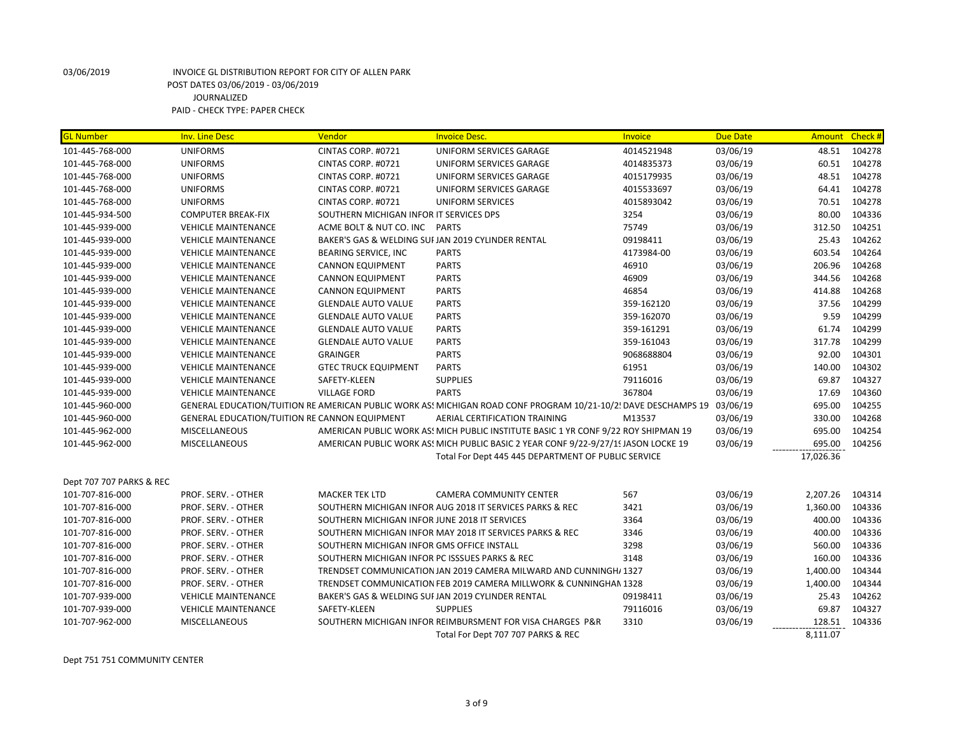| <b>GL Number</b>         | <b>Inv. Line Desc</b>                         | Vendor                                        | <b>Invoice Desc.</b>                                                                                           | <b>Invoice</b> | Due Date | Amount Check # |        |
|--------------------------|-----------------------------------------------|-----------------------------------------------|----------------------------------------------------------------------------------------------------------------|----------------|----------|----------------|--------|
| 101-445-768-000          | <b>UNIFORMS</b>                               | CINTAS CORP. #0721                            | UNIFORM SERVICES GARAGE                                                                                        | 4014521948     | 03/06/19 | 48.51          | 104278 |
| 101-445-768-000          | <b>UNIFORMS</b>                               | CINTAS CORP. #0721                            | UNIFORM SERVICES GARAGE                                                                                        | 4014835373     | 03/06/19 | 60.51          | 104278 |
| 101-445-768-000          | <b>UNIFORMS</b>                               | CINTAS CORP. #0721                            | UNIFORM SERVICES GARAGE                                                                                        | 4015179935     | 03/06/19 | 48.51          | 104278 |
| 101-445-768-000          | <b>UNIFORMS</b>                               | CINTAS CORP. #0721                            | UNIFORM SERVICES GARAGE                                                                                        | 4015533697     | 03/06/19 | 64.41          | 104278 |
| 101-445-768-000          | <b>UNIFORMS</b>                               | CINTAS CORP. #0721                            | <b>UNIFORM SERVICES</b>                                                                                        | 4015893042     | 03/06/19 | 70.51          | 104278 |
| 101-445-934-500          | <b>COMPUTER BREAK-FIX</b>                     | SOUTHERN MICHIGAN INFOR IT SERVICES DPS       |                                                                                                                | 3254           | 03/06/19 | 80.00          | 104336 |
| 101-445-939-000          | <b>VEHICLE MAINTENANCE</b>                    | ACME BOLT & NUT CO. INC PARTS                 |                                                                                                                | 75749          | 03/06/19 | 312.50         | 104251 |
| 101-445-939-000          | <b>VEHICLE MAINTENANCE</b>                    |                                               | BAKER'S GAS & WELDING SUI JAN 2019 CYLINDER RENTAL                                                             | 09198411       | 03/06/19 | 25.43          | 104262 |
| 101-445-939-000          | <b>VEHICLE MAINTENANCE</b>                    | BEARING SERVICE, INC                          | <b>PARTS</b>                                                                                                   | 4173984-00     | 03/06/19 | 603.54         | 104264 |
| 101-445-939-000          | <b>VEHICLE MAINTENANCE</b>                    | <b>CANNON EQUIPMENT</b>                       | <b>PARTS</b>                                                                                                   | 46910          | 03/06/19 | 206.96         | 104268 |
| 101-445-939-000          | <b>VEHICLE MAINTENANCE</b>                    | <b>CANNON EQUIPMENT</b>                       | <b>PARTS</b>                                                                                                   | 46909          | 03/06/19 | 344.56         | 104268 |
| 101-445-939-000          | <b>VEHICLE MAINTENANCE</b>                    | <b>CANNON EQUIPMENT</b>                       | <b>PARTS</b>                                                                                                   | 46854          | 03/06/19 | 414.88         | 104268 |
| 101-445-939-000          | <b>VEHICLE MAINTENANCE</b>                    | <b>GLENDALE AUTO VALUE</b>                    | <b>PARTS</b>                                                                                                   | 359-162120     | 03/06/19 | 37.56          | 104299 |
| 101-445-939-000          | <b>VEHICLE MAINTENANCE</b>                    | <b>GLENDALE AUTO VALUE</b>                    | <b>PARTS</b>                                                                                                   | 359-162070     | 03/06/19 | 9.59           | 104299 |
| 101-445-939-000          | <b>VEHICLE MAINTENANCE</b>                    | <b>GLENDALE AUTO VALUE</b>                    | <b>PARTS</b>                                                                                                   | 359-161291     | 03/06/19 | 61.74          | 104299 |
| 101-445-939-000          | <b>VEHICLE MAINTENANCE</b>                    | <b>GLENDALE AUTO VALUE</b>                    | <b>PARTS</b>                                                                                                   | 359-161043     | 03/06/19 | 317.78         | 104299 |
| 101-445-939-000          | <b>VEHICLE MAINTENANCE</b>                    | <b>GRAINGER</b>                               | <b>PARTS</b>                                                                                                   | 9068688804     | 03/06/19 | 92.00          | 104301 |
| 101-445-939-000          | <b>VEHICLE MAINTENANCE</b>                    | <b>GTEC TRUCK EQUIPMENT</b>                   | <b>PARTS</b>                                                                                                   | 61951          | 03/06/19 | 140.00         | 104302 |
| 101-445-939-000          | <b>VEHICLE MAINTENANCE</b>                    | SAFETY-KLEEN                                  | <b>SUPPLIES</b>                                                                                                | 79116016       | 03/06/19 | 69.87          | 104327 |
| 101-445-939-000          | <b>VEHICLE MAINTENANCE</b>                    | <b>VILLAGE FORD</b>                           | <b>PARTS</b>                                                                                                   | 367804         | 03/06/19 | 17.69          | 104360 |
| 101-445-960-000          |                                               |                                               | GENERAL EDUCATION/TUITION RE AMERICAN PUBLIC WORK AS! MICHIGAN ROAD CONF PROGRAM 10/21-10/2! DAVE DESCHAMPS 19 |                | 03/06/19 | 695.00         | 104255 |
| 101-445-960-000          | GENERAL EDUCATION/TUITION RE CANNON EQUIPMENT |                                               | AERIAL CERTIFICATION TRAINING                                                                                  | M13537         | 03/06/19 | 330.00         | 104268 |
| 101-445-962-000          | MISCELLANEOUS                                 |                                               | AMERICAN PUBLIC WORK AS! MICH PUBLIC INSTITUTE BASIC 1 YR CONF 9/22 ROY SHIPMAN 19                             |                | 03/06/19 | 695.00         | 104254 |
| 101-445-962-000          | <b>MISCELLANEOUS</b>                          |                                               | AMERICAN PUBLIC WORK AS! MICH PUBLIC BASIC 2 YEAR CONF 9/22-9/27/1! JASON LOCKE 19                             |                | 03/06/19 | 695.00         | 104256 |
|                          |                                               |                                               | Total For Dept 445 445 DEPARTMENT OF PUBLIC SERVICE                                                            |                |          | 17,026.36      |        |
| Dept 707 707 PARKS & REC |                                               |                                               |                                                                                                                |                |          |                |        |
| 101-707-816-000          | PROF. SERV. - OTHER                           | <b>MACKER TEK LTD</b>                         | <b>CAMERA COMMUNITY CENTER</b>                                                                                 | 567            | 03/06/19 | 2,207.26       | 104314 |
| 101-707-816-000          | PROF. SERV. - OTHER                           |                                               | SOUTHERN MICHIGAN INFOR AUG 2018 IT SERVICES PARKS & REC                                                       | 3421           | 03/06/19 | 1,360.00       | 104336 |
| 101-707-816-000          | PROF. SERV. - OTHER                           | SOUTHERN MICHIGAN INFOR JUNE 2018 IT SERVICES |                                                                                                                | 3364           | 03/06/19 | 400.00         | 104336 |
| 101-707-816-000          | PROF. SERV. - OTHER                           |                                               | SOUTHERN MICHIGAN INFOR MAY 2018 IT SERVICES PARKS & REC                                                       | 3346           | 03/06/19 | 400.00         | 104336 |
| 101-707-816-000          | PROF. SERV. - OTHER                           | SOUTHERN MICHIGAN INFOR GMS OFFICE INSTALL    |                                                                                                                | 3298           | 03/06/19 | 560.00         | 104336 |
| 101-707-816-000          | PROF. SERV. - OTHER                           |                                               | SOUTHERN MICHIGAN INFOR PC ISSSUES PARKS & REC                                                                 | 3148           | 03/06/19 | 160.00         | 104336 |
| 101-707-816-000          | PROF. SERV. - OTHER                           |                                               | TRENDSET COMMUNICATION JAN 2019 CAMERA MILWARD AND CUNNINGH/ 1327                                              |                | 03/06/19 | 1,400.00       | 104344 |
| 101-707-816-000          | PROF. SERV. - OTHER                           |                                               | TRENDSET COMMUNICATION FEB 2019 CAMERA MILLWORK & CUNNINGHAN 1328                                              |                | 03/06/19 | 1,400.00       | 104344 |
| 101-707-939-000          | <b>VEHICLE MAINTENANCE</b>                    |                                               | BAKER'S GAS & WELDING SUI JAN 2019 CYLINDER RENTAL                                                             | 09198411       | 03/06/19 | 25.43          | 104262 |
| 101-707-939-000          | <b>VEHICLE MAINTENANCE</b>                    | SAFETY-KLEEN                                  | <b>SUPPLIES</b>                                                                                                | 79116016       | 03/06/19 | 69.87          | 104327 |
| 101-707-962-000          | <b>MISCELLANEOUS</b>                          |                                               | SOUTHERN MICHIGAN INFOR REIMBURSMENT FOR VISA CHARGES P&R                                                      | 3310           | 03/06/19 | 128.51         | 104336 |
|                          |                                               |                                               | Total For Dept 707 707 PARKS & REC                                                                             |                |          | 8,111.07       |        |

Dept 751 751 COMMUNITY CENTER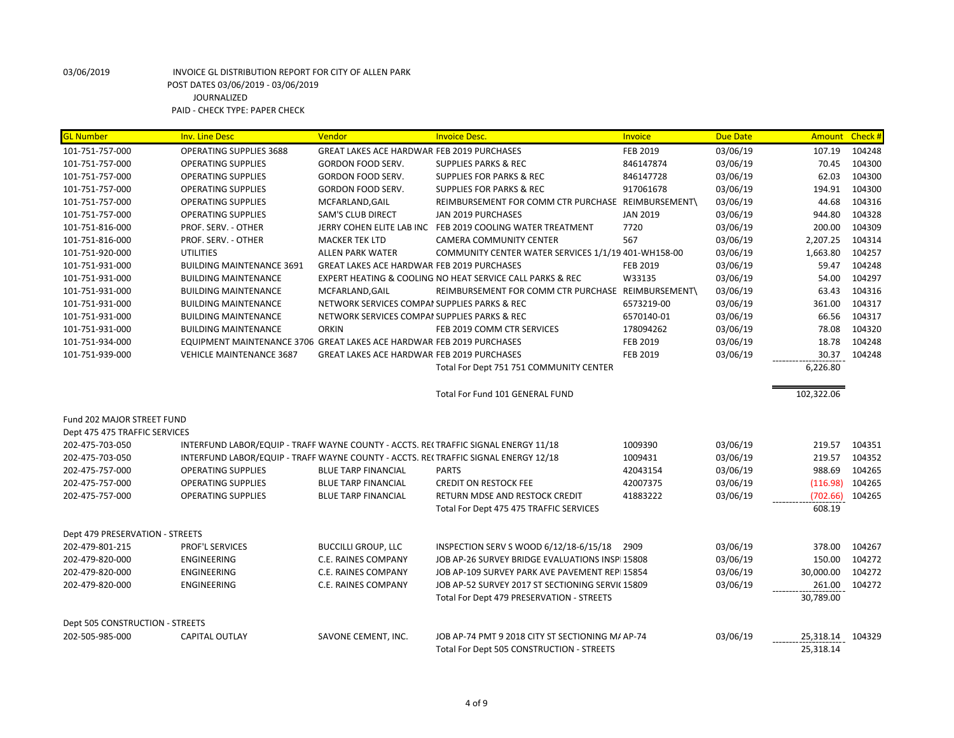| <b>GL Number</b>                | <b>Inv. Line Desc</b>                                                              | Vendor                                            | <b>Invoice Desc.</b>                                       | Invoice         | <b>Due Date</b> | Amount Check # |        |
|---------------------------------|------------------------------------------------------------------------------------|---------------------------------------------------|------------------------------------------------------------|-----------------|-----------------|----------------|--------|
| 101-751-757-000                 | OPERATING SUPPLIES 3688                                                            | GREAT LAKES ACE HARDWAR FEB 2019 PURCHASES        |                                                            | <b>FEB 2019</b> | 03/06/19        | 107.19         | 104248 |
| 101-751-757-000                 | <b>OPERATING SUPPLIES</b>                                                          | <b>GORDON FOOD SERV.</b>                          | <b>SUPPLIES PARKS &amp; REC</b>                            | 846147874       | 03/06/19        | 70.45          | 104300 |
| 101-751-757-000                 | <b>OPERATING SUPPLIES</b>                                                          | <b>GORDON FOOD SERV.</b>                          | <b>SUPPLIES FOR PARKS &amp; REC</b>                        | 846147728       | 03/06/19        | 62.03          | 104300 |
| 101-751-757-000                 | <b>OPERATING SUPPLIES</b>                                                          | GORDON FOOD SERV.                                 | <b>SUPPLIES FOR PARKS &amp; REC</b>                        | 917061678       | 03/06/19        | 194.91         | 104300 |
| 101-751-757-000                 | <b>OPERATING SUPPLIES</b>                                                          | MCFARLAND, GAIL                                   | REIMBURSEMENT FOR COMM CTR PURCHASE REIMBURSEMENT\         |                 | 03/06/19        | 44.68          | 104316 |
| 101-751-757-000                 | <b>OPERATING SUPPLIES</b>                                                          | <b>SAM'S CLUB DIRECT</b>                          | JAN 2019 PURCHASES                                         | <b>JAN 2019</b> | 03/06/19        | 944.80         | 104328 |
| 101-751-816-000                 | PROF. SERV. - OTHER                                                                |                                                   | JERRY COHEN ELITE LAB INC FEB 2019 COOLING WATER TREATMENT | 7720            | 03/06/19        | 200.00         | 104309 |
| 101-751-816-000                 | PROF. SERV. - OTHER                                                                | <b>MACKER TEK LTD</b>                             | <b>CAMERA COMMUNITY CENTER</b>                             | 567             | 03/06/19        | 2,207.25       | 104314 |
| 101-751-920-000                 | <b>UTILITIES</b>                                                                   | <b>ALLEN PARK WATER</b>                           | COMMUNITY CENTER WATER SERVICES 1/1/19 401-WH158-00        |                 | 03/06/19        | 1,663.80       | 104257 |
| 101-751-931-000                 | <b>BUILDING MAINTENANCE 3691</b>                                                   | <b>GREAT LAKES ACE HARDWAR FEB 2019 PURCHASES</b> |                                                            | <b>FEB 2019</b> | 03/06/19        | 59.47          | 104248 |
| 101-751-931-000                 | <b>BUILDING MAINTENANCE</b>                                                        |                                                   | EXPERT HEATING & COOLING NO HEAT SERVICE CALL PARKS & REC  | W33135          | 03/06/19        | 54.00          | 104297 |
| 101-751-931-000                 | <b>BUILDING MAINTENANCE</b>                                                        | MCFARLAND, GAIL                                   | REIMBURSEMENT FOR COMM CTR PURCHASE REIMBURSEMENT\         |                 | 03/06/19        | 63.43          | 104316 |
| 101-751-931-000                 | <b>BUILDING MAINTENANCE</b>                                                        | NETWORK SERVICES COMPAI SUPPLIES PARKS & REC      |                                                            | 6573219-00      | 03/06/19        | 361.00         | 104317 |
| 101-751-931-000                 | <b>BUILDING MAINTENANCE</b>                                                        | NETWORK SERVICES COMPAI SUPPLIES PARKS & REC      |                                                            | 6570140-01      | 03/06/19        | 66.56          | 104317 |
| 101-751-931-000                 | <b>BUILDING MAINTENANCE</b>                                                        | <b>ORKIN</b>                                      | FEB 2019 COMM CTR SERVICES                                 | 178094262       | 03/06/19        | 78.08          | 104320 |
| 101-751-934-000                 | EQUIPMENT MAINTENANCE 3706 GREAT LAKES ACE HARDWAR FEB 2019 PURCHASES              |                                                   |                                                            | <b>FEB 2019</b> | 03/06/19        | 18.78          | 104248 |
| 101-751-939-000                 | <b>VEHICLE MAINTENANCE 3687</b>                                                    | <b>GREAT LAKES ACE HARDWAR FEB 2019 PURCHASES</b> |                                                            | <b>FEB 2019</b> | 03/06/19        | 30.37          | 104248 |
|                                 |                                                                                    |                                                   | Total For Dept 751 751 COMMUNITY CENTER                    |                 |                 | 6,226.80       |        |
|                                 |                                                                                    |                                                   | Total For Fund 101 GENERAL FUND                            |                 |                 | 102,322.06     |        |
|                                 |                                                                                    |                                                   |                                                            |                 |                 |                |        |
| Fund 202 MAJOR STREET FUND      |                                                                                    |                                                   |                                                            |                 |                 |                |        |
| Dept 475 475 TRAFFIC SERVICES   |                                                                                    |                                                   |                                                            |                 |                 |                |        |
| 202-475-703-050                 | INTERFUND LABOR/EQUIP - TRAFF WAYNE COUNTY - ACCTS. RECTRAFFIC SIGNAL ENERGY 11/18 |                                                   |                                                            | 1009390         | 03/06/19        | 219.57         | 104351 |
| 202-475-703-050                 | INTERFUND LABOR/EQUIP - TRAFF WAYNE COUNTY - ACCTS. RECTRAFFIC SIGNAL ENERGY 12/18 |                                                   |                                                            | 1009431         | 03/06/19        | 219.57         | 104352 |
| 202-475-757-000                 | <b>OPERATING SUPPLIES</b>                                                          | <b>BLUE TARP FINANCIAL</b>                        | <b>PARTS</b>                                               | 42043154        | 03/06/19        | 988.69         | 104265 |
| 202-475-757-000                 | <b>OPERATING SUPPLIES</b>                                                          | <b>BLUE TARP FINANCIAL</b>                        | <b>CREDIT ON RESTOCK FEE</b>                               | 42007375        | 03/06/19        | (116.98)       | 104265 |
| 202-475-757-000                 | <b>OPERATING SUPPLIES</b>                                                          | <b>BLUE TARP FINANCIAL</b>                        | RETURN MDSE AND RESTOCK CREDIT                             | 41883222        | 03/06/19        | (702.66)       | 104265 |
|                                 |                                                                                    |                                                   | Total For Dept 475 475 TRAFFIC SERVICES                    |                 |                 | 608.19         |        |
| Dept 479 PRESERVATION - STREETS |                                                                                    |                                                   |                                                            |                 |                 |                |        |
| 202-479-801-215                 | PROF'L SERVICES                                                                    | <b>BUCCILLI GROUP, LLC</b>                        | INSPECTION SERV S WOOD 6/12/18-6/15/18                     | 2909            | 03/06/19        | 378.00         | 104267 |
| 202-479-820-000                 | <b>ENGINEERING</b>                                                                 | C.E. RAINES COMPANY                               | JOB AP-26 SURVEY BRIDGE EVALUATIONS INSPL15808             |                 | 03/06/19        | 150.00         | 104272 |
| 202-479-820-000                 | <b>ENGINEERING</b>                                                                 | <b>C.E. RAINES COMPANY</b>                        | JOB AP-109 SURVEY PARK AVE PAVEMENT REPI 15854             |                 | 03/06/19        | 30,000.00      | 104272 |
| 202-479-820-000                 | ENGINEERING                                                                        | C.E. RAINES COMPANY                               | JOB AP-52 SURVEY 2017 ST SECTIONING SERVIC 15809           |                 | 03/06/19        | 261.00         | 104272 |
|                                 |                                                                                    |                                                   | Total For Dept 479 PRESERVATION - STREETS                  |                 |                 | 30,789.00      |        |
|                                 |                                                                                    |                                                   |                                                            |                 |                 |                |        |
| Dept 505 CONSTRUCTION - STREETS |                                                                                    |                                                   |                                                            |                 |                 |                |        |
| 202-505-985-000                 | <b>CAPITAL OUTLAY</b>                                                              | SAVONE CEMENT, INC.                               | JOB AP-74 PMT 9 2018 CITY ST SECTIONING M/ AP-74           |                 | 03/06/19        | 25,318.14      | 104329 |
|                                 |                                                                                    |                                                   | Total For Dept 505 CONSTRUCTION - STREETS                  |                 |                 | 25,318.14      |        |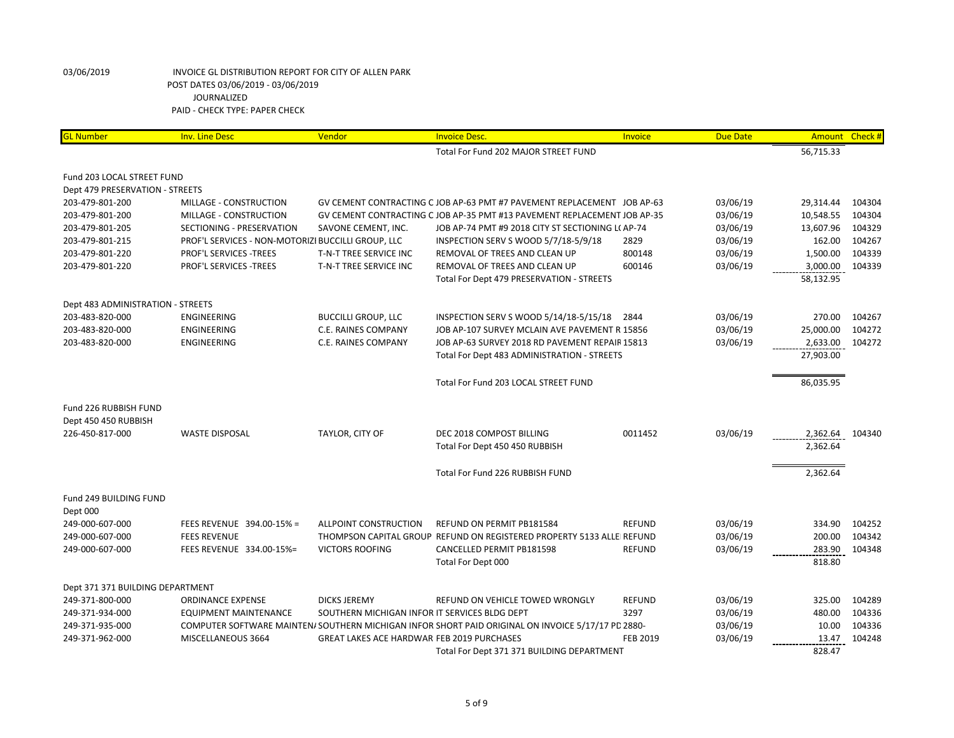| <b>GL Number</b>                  | <b>Inv. Line Desc</b>                              | Vendor                                            | <b>Invoice Desc.</b>                                                                              | Invoice         | <b>Due Date</b> | Amount    | Check# |
|-----------------------------------|----------------------------------------------------|---------------------------------------------------|---------------------------------------------------------------------------------------------------|-----------------|-----------------|-----------|--------|
|                                   |                                                    |                                                   | Total For Fund 202 MAJOR STREET FUND                                                              |                 |                 | 56,715.33 |        |
| Fund 203 LOCAL STREET FUND        |                                                    |                                                   |                                                                                                   |                 |                 |           |        |
| Dept 479 PRESERVATION - STREETS   |                                                    |                                                   |                                                                                                   |                 |                 |           |        |
| 203-479-801-200                   | MILLAGE - CONSTRUCTION                             |                                                   | GV CEMENT CONTRACTING C JOB AP-63 PMT #7 PAVEMENT REPLACEMENT JOB AP-63                           |                 | 03/06/19        | 29,314.44 | 104304 |
| 203-479-801-200                   | MILLAGE - CONSTRUCTION                             |                                                   | GV CEMENT CONTRACTING C JOB AP-35 PMT #13 PAVEMENT REPLACEMENT JOB AP-35                          |                 | 03/06/19        | 10,548.55 | 104304 |
| 203-479-801-205                   | SECTIONING - PRESERVATION                          | SAVONE CEMENT, INC.                               | JOB AP-74 PMT #9 2018 CITY ST SECTIONING L(AP-74                                                  |                 | 03/06/19        | 13,607.96 | 104329 |
| 203-479-801-215                   | PROF'L SERVICES - NON-MOTORIZI BUCCILLI GROUP, LLC |                                                   | INSPECTION SERV S WOOD 5/7/18-5/9/18                                                              | 2829            | 03/06/19        | 162.00    | 104267 |
| 203-479-801-220                   | PROF'L SERVICES -TREES                             | T-N-T TREE SERVICE INC                            | REMOVAL OF TREES AND CLEAN UP                                                                     | 800148          | 03/06/19        | 1,500.00  | 104339 |
| 203-479-801-220                   | PROF'L SERVICES - TREES                            | T-N-T TREE SERVICE INC                            | REMOVAL OF TREES AND CLEAN UP                                                                     | 600146          | 03/06/19        | 3,000.00  | 104339 |
|                                   |                                                    |                                                   | Total For Dept 479 PRESERVATION - STREETS                                                         |                 |                 | 58,132.95 |        |
| Dept 483 ADMINISTRATION - STREETS |                                                    |                                                   |                                                                                                   |                 |                 |           |        |
| 203-483-820-000                   | ENGINEERING                                        | <b>BUCCILLI GROUP, LLC</b>                        | INSPECTION SERV S WOOD 5/14/18-5/15/18                                                            | 2844            | 03/06/19        | 270.00    | 104267 |
| 203-483-820-000                   | <b>ENGINEERING</b>                                 | C.E. RAINES COMPANY                               | JOB AP-107 SURVEY MCLAIN AVE PAVEMENT R 15856                                                     |                 | 03/06/19        | 25,000.00 | 104272 |
| 203-483-820-000                   | ENGINEERING                                        | C.E. RAINES COMPANY                               | JOB AP-63 SURVEY 2018 RD PAVEMENT REPAIR 15813                                                    |                 | 03/06/19        | 2,633.00  | 104272 |
|                                   |                                                    |                                                   | Total For Dept 483 ADMINISTRATION - STREETS                                                       |                 |                 | 27,903.00 |        |
|                                   |                                                    |                                                   |                                                                                                   |                 |                 |           |        |
|                                   |                                                    |                                                   | Total For Fund 203 LOCAL STREET FUND                                                              |                 |                 | 86,035.95 |        |
|                                   |                                                    |                                                   |                                                                                                   |                 |                 |           |        |
| Fund 226 RUBBISH FUND             |                                                    |                                                   |                                                                                                   |                 |                 |           |        |
| Dept 450 450 RUBBISH              |                                                    |                                                   |                                                                                                   |                 |                 |           |        |
| 226-450-817-000                   | <b>WASTE DISPOSAL</b>                              | TAYLOR, CITY OF                                   | DEC 2018 COMPOST BILLING                                                                          | 0011452         | 03/06/19        | 2,362.64  | 104340 |
|                                   |                                                    |                                                   | Total For Dept 450 450 RUBBISH                                                                    |                 |                 | 2,362.64  |        |
|                                   |                                                    |                                                   | Total For Fund 226 RUBBISH FUND                                                                   |                 |                 | 2,362.64  |        |
| Fund 249 BUILDING FUND            |                                                    |                                                   |                                                                                                   |                 |                 |           |        |
| Dept 000                          |                                                    |                                                   |                                                                                                   |                 |                 |           |        |
| 249-000-607-000                   | FEES REVENUE 394.00-15% =                          | ALLPOINT CONSTRUCTION                             | REFUND ON PERMIT PB181584                                                                         | <b>REFUND</b>   | 03/06/19        | 334.90    | 104252 |
| 249-000-607-000                   | <b>FEES REVENUE</b>                                |                                                   | THOMPSON CAPITAL GROUP REFUND ON REGISTERED PROPERTY 5133 ALLE REFUND                             |                 | 03/06/19        | 200.00    | 104342 |
| 249-000-607-000                   | FEES REVENUE 334.00-15%=                           | <b>VICTORS ROOFING</b>                            | CANCELLED PERMIT PB181598                                                                         | <b>REFUND</b>   | 03/06/19        | 283.90    | 104348 |
|                                   |                                                    |                                                   | Total For Dept 000                                                                                |                 |                 | 818.80    |        |
| Dept 371 371 BUILDING DEPARTMENT  |                                                    |                                                   |                                                                                                   |                 |                 |           |        |
| 249-371-800-000                   | <b>ORDINANCE EXPENSE</b>                           | <b>DICKS JEREMY</b>                               | REFUND ON VEHICLE TOWED WRONGLY                                                                   | <b>REFUND</b>   | 03/06/19        | 325.00    | 104289 |
| 249-371-934-000                   | <b>EQUIPMENT MAINTENANCE</b>                       | SOUTHERN MICHIGAN INFOR IT SERVICES BLDG DEPT     |                                                                                                   | 3297            | 03/06/19        | 480.00    | 104336 |
| 249-371-935-000                   |                                                    |                                                   | COMPUTER SOFTWARE MAINTEN/SOUTHERN MICHIGAN INFOR SHORT PAID ORIGINAL ON INVOICE 5/17/17 PD 2880- |                 | 03/06/19        | 10.00     | 104336 |
| 249-371-962-000                   | MISCELLANEOUS 3664                                 | <b>GREAT LAKES ACE HARDWAR FEB 2019 PURCHASES</b> |                                                                                                   | <b>FEB 2019</b> | 03/06/19        | 13.47     | 104248 |
|                                   |                                                    |                                                   | Total For Dept 371 371 BUILDING DEPARTMENT                                                        |                 |                 | 828.47    |        |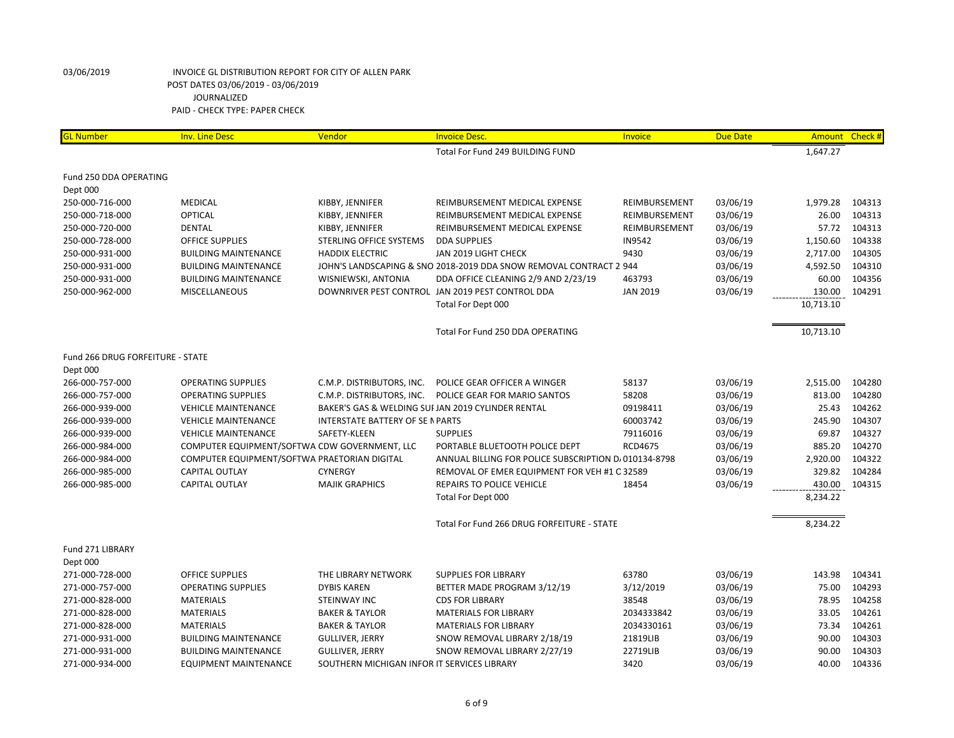| <b>GL Number</b>                 | <b>Inv. Line Desc</b>                         | Vendor                                      | <b>Invoice Desc.</b>                                               | Invoice         | <b>Due Date</b> | <b>Amount</b> | Check # |
|----------------------------------|-----------------------------------------------|---------------------------------------------|--------------------------------------------------------------------|-----------------|-----------------|---------------|---------|
|                                  |                                               |                                             | Total For Fund 249 BUILDING FUND                                   |                 |                 | 1,647.27      |         |
| Fund 250 DDA OPERATING           |                                               |                                             |                                                                    |                 |                 |               |         |
| Dept 000                         |                                               |                                             |                                                                    |                 |                 |               |         |
| 250-000-716-000                  | MEDICAL                                       | KIBBY, JENNIFER                             | REIMBURSEMENT MEDICAL EXPENSE                                      | REIMBURSEMENT   | 03/06/19        | 1,979.28      | 104313  |
| 250-000-718-000                  | <b>OPTICAL</b>                                | KIBBY, JENNIFER                             | REIMBURSEMENT MEDICAL EXPENSE                                      | REIMBURSEMENT   | 03/06/19        | 26.00         | 104313  |
| 250-000-720-000                  | <b>DENTAL</b>                                 | KIBBY, JENNIFER                             | REIMBURSEMENT MEDICAL EXPENSE                                      | REIMBURSEMENT   | 03/06/19        | 57.72         | 104313  |
| 250-000-728-000                  | <b>OFFICE SUPPLIES</b>                        | STERLING OFFICE SYSTEMS                     | <b>DDA SUPPLIES</b>                                                | <b>IN9542</b>   | 03/06/19        | 1,150.60      | 104338  |
| 250-000-931-000                  | <b>BUILDING MAINTENANCE</b>                   | <b>HADDIX ELECTRIC</b>                      | JAN 2019 LIGHT CHECK                                               | 9430            | 03/06/19        | 2,717.00      | 104305  |
| 250-000-931-000                  | <b>BUILDING MAINTENANCE</b>                   |                                             | JOHN'S LANDSCAPING & SNO 2018-2019 DDA SNOW REMOVAL CONTRACT 2 944 |                 | 03/06/19        | 4,592.50      | 104310  |
| 250-000-931-000                  | <b>BUILDING MAINTENANCE</b>                   | WISNIEWSKI, ANTONIA                         | DDA OFFICE CLEANING 2/9 AND 2/23/19                                | 463793          | 03/06/19        | 60.00         | 104356  |
| 250-000-962-000                  | <b>MISCELLANEOUS</b>                          |                                             | DOWNRIVER PEST CONTROL JAN 2019 PEST CONTROL DDA                   | <b>JAN 2019</b> | 03/06/19        | 130.00        | 104291  |
|                                  |                                               |                                             | Total For Dept 000                                                 |                 |                 | 10,713.10     |         |
|                                  |                                               |                                             | Total For Fund 250 DDA OPERATING                                   |                 |                 | 10,713.10     |         |
| Fund 266 DRUG FORFEITURE - STATE |                                               |                                             |                                                                    |                 |                 |               |         |
| Dept 000                         |                                               |                                             |                                                                    |                 |                 |               |         |
| 266-000-757-000                  | <b>OPERATING SUPPLIES</b>                     | C.M.P. DISTRIBUTORS, INC.                   | POLICE GEAR OFFICER A WINGER                                       | 58137           | 03/06/19        | 2,515.00      | 104280  |
| 266-000-757-000                  | <b>OPERATING SUPPLIES</b>                     | C.M.P. DISTRIBUTORS, INC.                   | POLICE GEAR FOR MARIO SANTOS                                       | 58208           | 03/06/19        | 813.00        | 104280  |
| 266-000-939-000                  | <b>VEHICLE MAINTENANCE</b>                    |                                             | BAKER'S GAS & WELDING SUI JAN 2019 CYLINDER RENTAL                 | 09198411        | 03/06/19        | 25.43         | 104262  |
| 266-000-939-000                  | <b>VEHICLE MAINTENANCE</b>                    | <b>INTERSTATE BATTERY OF SE N PARTS</b>     |                                                                    | 60003742        | 03/06/19        | 245.90        | 104307  |
| 266-000-939-000                  | <b>VEHICLE MAINTENANCE</b>                    | SAFETY-KLEEN                                | <b>SUPPLIES</b>                                                    | 79116016        | 03/06/19        | 69.87         | 104327  |
| 266-000-984-000                  | COMPUTER EQUIPMENT/SOFTWA CDW GOVERNMENT, LLC |                                             | PORTABLE BLUETOOTH POLICE DEPT                                     | <b>RCD4675</b>  | 03/06/19        | 885.20        | 104270  |
| 266-000-984-000                  | COMPUTER EQUIPMENT/SOFTWA PRAETORIAN DIGITAL  |                                             | ANNUAL BILLING FOR POLICE SUBSCRIPTION D/010134-8798               |                 | 03/06/19        | 2,920.00      | 104322  |
| 266-000-985-000                  | <b>CAPITAL OUTLAY</b>                         | <b>CYNERGY</b>                              | REMOVAL OF EMER EQUIPMENT FOR VEH #1 C 32589                       |                 | 03/06/19        | 329.82        | 104284  |
| 266-000-985-000                  | <b>CAPITAL OUTLAY</b>                         | <b>MAJIK GRAPHICS</b>                       | <b>REPAIRS TO POLICE VEHICLE</b>                                   | 18454           | 03/06/19        | 430.00        | 104315  |
|                                  |                                               |                                             | Total For Dept 000                                                 |                 |                 | 8,234.22      |         |
|                                  |                                               |                                             | Total For Fund 266 DRUG FORFEITURE - STATE                         |                 |                 | 8,234.22      |         |
| Fund 271 LIBRARY                 |                                               |                                             |                                                                    |                 |                 |               |         |
| Dept 000                         |                                               |                                             |                                                                    |                 |                 |               |         |
| 271-000-728-000                  | <b>OFFICE SUPPLIES</b>                        | THE LIBRARY NETWORK                         | <b>SUPPLIES FOR LIBRARY</b>                                        | 63780           | 03/06/19        | 143.98        | 104341  |
| 271-000-757-000                  | <b>OPERATING SUPPLIES</b>                     | <b>DYBIS KAREN</b>                          | BETTER MADE PROGRAM 3/12/19                                        | 3/12/2019       | 03/06/19        | 75.00         | 104293  |
| 271-000-828-000                  | <b>MATERIALS</b>                              | <b>STEINWAY INC</b>                         | <b>CDS FOR LIBRARY</b>                                             | 38548           | 03/06/19        | 78.95         | 104258  |
| 271-000-828-000                  | <b>MATERIALS</b>                              | <b>BAKER &amp; TAYLOR</b>                   | <b>MATERIALS FOR LIBRARY</b>                                       | 2034333842      | 03/06/19        | 33.05         | 104261  |
| 271-000-828-000                  | <b>MATERIALS</b>                              | <b>BAKER &amp; TAYLOR</b>                   | <b>MATERIALS FOR LIBRARY</b>                                       | 2034330161      | 03/06/19        | 73.34         | 104261  |
| 271-000-931-000                  | <b>BUILDING MAINTENANCE</b>                   | <b>GULLIVER, JERRY</b>                      | SNOW REMOVAL LIBRARY 2/18/19                                       | 21819LIB        | 03/06/19        | 90.00         | 104303  |
| 271-000-931-000                  | <b>BUILDING MAINTENANCE</b>                   | <b>GULLIVER, JERRY</b>                      | SNOW REMOVAL LIBRARY 2/27/19                                       | 22719LIB        | 03/06/19        | 90.00         | 104303  |
| 271-000-934-000                  | <b>EQUIPMENT MAINTENANCE</b>                  | SOUTHERN MICHIGAN INFOR IT SERVICES LIBRARY |                                                                    | 3420            | 03/06/19        | 40.00         | 104336  |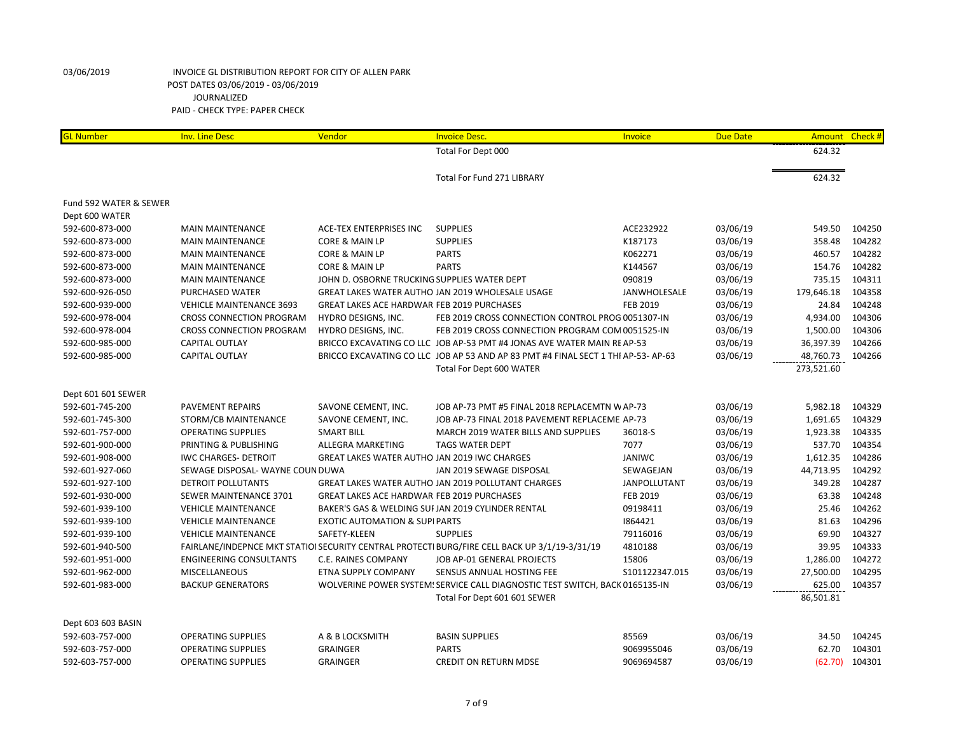| 624.32<br>Total For Dept 000<br>624.32<br><b>Total For Fund 271 LIBRARY</b><br>Fund 592 WATER & SEWER<br>Dept 600 WATER<br>03/06/19<br>549.50<br>104250<br>592-600-873-000<br><b>MAIN MAINTENANCE</b><br>ACE-TEX ENTERPRISES INC<br><b>SUPPLIES</b><br>ACE232922<br>03/06/19<br>104282<br><b>SUPPLIES</b><br>K187173<br>358.48<br>592-600-873-000<br><b>MAIN MAINTENANCE</b><br>CORE & MAIN LP<br>104282<br><b>PARTS</b><br>K062271<br>03/06/19<br>460.57<br>592-600-873-000<br><b>MAIN MAINTENANCE</b><br>CORE & MAIN LP<br><b>PARTS</b><br>03/06/19<br>154.76<br>104282<br>592-600-873-000<br><b>MAIN MAINTENANCE</b><br>CORE & MAIN LP<br>K144567<br>735.15<br>104311<br>090819<br>03/06/19<br>592-600-873-000<br><b>MAIN MAINTENANCE</b><br>JOHN D. OSBORNE TRUCKING SUPPLIES WATER DEPT<br>179,646.18<br>104358<br>592-600-926-050<br>PURCHASED WATER<br>GREAT LAKES WATER AUTHO JAN 2019 WHOLESALE USAGE<br>JANWHOLESALE<br>03/06/19<br>24.84<br>104248<br>592-600-939-000<br><b>VEHICLE MAINTENANCE 3693</b><br><b>GREAT LAKES ACE HARDWAR FEB 2019 PURCHASES</b><br><b>FEB 2019</b><br>03/06/19<br>104306<br>592-600-978-004<br>03/06/19<br>4,934.00<br><b>CROSS CONNECTION PROGRAM</b><br>HYDRO DESIGNS, INC.<br>FEB 2019 CROSS CONNECTION CONTROL PROG 0051307-IN<br>104306<br>592-600-978-004<br><b>CROSS CONNECTION PROGRAM</b><br>HYDRO DESIGNS, INC.<br>FEB 2019 CROSS CONNECTION PROGRAM COM 0051525-IN<br>03/06/19<br>1,500.00<br>592-600-985-000<br>BRICCO EXCAVATING CO LLC JOB AP-53 PMT #4 JONAS AVE WATER MAIN RE AP-53<br>03/06/19<br>36,397.39<br>104266<br>CAPITAL OUTLAY<br><b>CAPITAL OUTLAY</b><br>BRICCO EXCAVATING CO LLC JOB AP 53 AND AP 83 PMT #4 FINAL SECT 1 THI AP-53-AP-63<br>03/06/19<br>48,760.73<br>104266<br>592-600-985-000<br>273,521.60<br>Total For Dept 600 WATER<br>Dept 601 601 SEWER<br>592-601-745-200<br><b>PAVEMENT REPAIRS</b><br>JOB AP-73 PMT #5 FINAL 2018 REPLACEMTN W AP-73<br>03/06/19<br>5,982.18<br>104329<br>SAVONE CEMENT, INC.<br>592-601-745-300<br>SAVONE CEMENT, INC.<br>JOB AP-73 FINAL 2018 PAVEMENT REPLACEME AP-73<br>03/06/19<br>1,691.65<br>104329<br>STORM/CB MAINTENANCE<br>104335<br><b>OPERATING SUPPLIES</b><br><b>SMART BILL</b><br>36018-S<br>03/06/19<br>1,923.38<br>592-601-757-000<br>MARCH 2019 WATER BILLS AND SUPPLIES<br>7077<br>03/06/19<br>537.70<br>104354<br>592-601-900-000<br>PRINTING & PUBLISHING<br>ALLEGRA MARKETING<br><b>TAGS WATER DEPT</b><br><b>JANIWC</b><br>03/06/19<br>1,612.35<br>104286<br>GREAT LAKES WATER AUTHO JAN 2019 IWC CHARGES<br>592-601-908-000<br><b>IWC CHARGES- DETROIT</b><br>03/06/19<br>44,713.95<br>104292<br>592-601-927-060<br>SEWAGE DISPOSAL- WAYNE COUN DUWA<br>JAN 2019 SEWAGE DISPOSAL<br>SEWAGEJAN<br>349.28<br>104287<br>GREAT LAKES WATER AUTHO JAN 2019 POLLUTANT CHARGES<br>03/06/19<br>592-601-927-100<br>DETROIT POLLUTANTS<br>JANPOLLUTANT<br>63.38<br>104248<br>SEWER MAINTENANCE 3701<br><b>GREAT LAKES ACE HARDWAR FEB 2019 PURCHASES</b><br><b>FEB 2019</b><br>03/06/19<br>592-601-930-000<br>25.46<br>104262<br>09198411<br>03/06/19<br>592-601-939-100<br><b>VEHICLE MAINTENANCE</b><br>BAKER'S GAS & WELDING SUI JAN 2019 CYLINDER RENTAL<br>03/06/19<br>81.63<br>104296<br>592-601-939-100<br><b>VEHICLE MAINTENANCE</b><br><b>EXOTIC AUTOMATION &amp; SUPIPARTS</b><br>1864421<br>69.90<br>104327<br><b>VEHICLE MAINTENANCE</b><br>SAFETY-KLEEN<br>03/06/19<br>592-601-939-100<br><b>SUPPLIES</b><br>79116016<br>39.95<br>104333<br>FAIRLANE/INDEPNCE MKT STATIOI SECURITY CENTRAL PROTECTI BURG/FIRE CELL BACK UP 3/1/19-3/31/19<br>4810188<br>03/06/19<br>592-601-940-500<br>104272<br>JOB AP-01 GENERAL PROJECTS<br>15806<br>03/06/19<br>1,286.00<br>592-601-951-000<br><b>ENGINEERING CONSULTANTS</b><br>C.E. RAINES COMPANY<br>27,500.00<br>104295<br>03/06/19<br>592-601-962-000<br><b>MISCELLANEOUS</b><br>ETNA SUPPLY COMPANY<br>SENSUS ANNUAL HOSTING FEE<br>S101122347.015<br>03/06/19<br>625.00<br>104357<br>592-601-983-000<br><b>BACKUP GENERATORS</b><br>WOLVERINE POWER SYSTEM! SERVICE CALL DIAGNOSTIC TEST SWITCH, BACK 0165135-IN<br>86,501.81<br>Total For Dept 601 601 SEWER<br>Dept 603 603 BASIN<br>A & B LOCKSMITH<br><b>BASIN SUPPLIES</b><br>85569<br>03/06/19<br>34.50<br>104245<br>592-603-757-000<br><b>OPERATING SUPPLIES</b><br>104301<br><b>GRAINGER</b><br><b>PARTS</b><br>03/06/19<br>62.70<br>592-603-757-000<br><b>OPERATING SUPPLIES</b><br>9069955046 | <b>GL Number</b> | <b>Inv. Line Desc</b>     | Vendor          | <b>Invoice Desc.</b>         | Invoice    | <b>Due Date</b> | <b>Amount</b> | Check# |
|------------------------------------------------------------------------------------------------------------------------------------------------------------------------------------------------------------------------------------------------------------------------------------------------------------------------------------------------------------------------------------------------------------------------------------------------------------------------------------------------------------------------------------------------------------------------------------------------------------------------------------------------------------------------------------------------------------------------------------------------------------------------------------------------------------------------------------------------------------------------------------------------------------------------------------------------------------------------------------------------------------------------------------------------------------------------------------------------------------------------------------------------------------------------------------------------------------------------------------------------------------------------------------------------------------------------------------------------------------------------------------------------------------------------------------------------------------------------------------------------------------------------------------------------------------------------------------------------------------------------------------------------------------------------------------------------------------------------------------------------------------------------------------------------------------------------------------------------------------------------------------------------------------------------------------------------------------------------------------------------------------------------------------------------------------------------------------------------------------------------------------------------------------------------------------------------------------------------------------------------------------------------------------------------------------------------------------------------------------------------------------------------------------------------------------------------------------------------------------------------------------------------------------------------------------------------------------------------------------------------------------------------------------------------------------------------------------------------------------------------------------------------------------------------------------------------------------------------------------------------------------------------------------------------------------------------------------------------------------------------------------------------------------------------------------------------------------------------------------------------------------------------------------------------------------------------------------------------------------------------------------------------------------------------------------------------------------------------------------------------------------------------------------------------------------------------------------------------------------------------------------------------------------------------------------------------------------------------------------------------------------------------------------------------------------------------------------------------------------------------------------------------------------------------------------------------------------------------------------------------------------------------------------------------------------------------------------------------------------------------------------------------------------------------------------------------------------------------------------------------------------------------------------------------------------------------------------------------------------------------------------------------------------------------------------------------------------------------------------------------------------------------------------------------------------------------|------------------|---------------------------|-----------------|------------------------------|------------|-----------------|---------------|--------|
|                                                                                                                                                                                                                                                                                                                                                                                                                                                                                                                                                                                                                                                                                                                                                                                                                                                                                                                                                                                                                                                                                                                                                                                                                                                                                                                                                                                                                                                                                                                                                                                                                                                                                                                                                                                                                                                                                                                                                                                                                                                                                                                                                                                                                                                                                                                                                                                                                                                                                                                                                                                                                                                                                                                                                                                                                                                                                                                                                                                                                                                                                                                                                                                                                                                                                                                                                                                                                                                                                                                                                                                                                                                                                                                                                                                                                                                                                                                                                                                                                                                                                                                                                                                                                                                                                                                                                                                                                                                |                  |                           |                 |                              |            |                 |               |        |
|                                                                                                                                                                                                                                                                                                                                                                                                                                                                                                                                                                                                                                                                                                                                                                                                                                                                                                                                                                                                                                                                                                                                                                                                                                                                                                                                                                                                                                                                                                                                                                                                                                                                                                                                                                                                                                                                                                                                                                                                                                                                                                                                                                                                                                                                                                                                                                                                                                                                                                                                                                                                                                                                                                                                                                                                                                                                                                                                                                                                                                                                                                                                                                                                                                                                                                                                                                                                                                                                                                                                                                                                                                                                                                                                                                                                                                                                                                                                                                                                                                                                                                                                                                                                                                                                                                                                                                                                                                                |                  |                           |                 |                              |            |                 |               |        |
|                                                                                                                                                                                                                                                                                                                                                                                                                                                                                                                                                                                                                                                                                                                                                                                                                                                                                                                                                                                                                                                                                                                                                                                                                                                                                                                                                                                                                                                                                                                                                                                                                                                                                                                                                                                                                                                                                                                                                                                                                                                                                                                                                                                                                                                                                                                                                                                                                                                                                                                                                                                                                                                                                                                                                                                                                                                                                                                                                                                                                                                                                                                                                                                                                                                                                                                                                                                                                                                                                                                                                                                                                                                                                                                                                                                                                                                                                                                                                                                                                                                                                                                                                                                                                                                                                                                                                                                                                                                |                  |                           |                 |                              |            |                 |               |        |
|                                                                                                                                                                                                                                                                                                                                                                                                                                                                                                                                                                                                                                                                                                                                                                                                                                                                                                                                                                                                                                                                                                                                                                                                                                                                                                                                                                                                                                                                                                                                                                                                                                                                                                                                                                                                                                                                                                                                                                                                                                                                                                                                                                                                                                                                                                                                                                                                                                                                                                                                                                                                                                                                                                                                                                                                                                                                                                                                                                                                                                                                                                                                                                                                                                                                                                                                                                                                                                                                                                                                                                                                                                                                                                                                                                                                                                                                                                                                                                                                                                                                                                                                                                                                                                                                                                                                                                                                                                                |                  |                           |                 |                              |            |                 |               |        |
|                                                                                                                                                                                                                                                                                                                                                                                                                                                                                                                                                                                                                                                                                                                                                                                                                                                                                                                                                                                                                                                                                                                                                                                                                                                                                                                                                                                                                                                                                                                                                                                                                                                                                                                                                                                                                                                                                                                                                                                                                                                                                                                                                                                                                                                                                                                                                                                                                                                                                                                                                                                                                                                                                                                                                                                                                                                                                                                                                                                                                                                                                                                                                                                                                                                                                                                                                                                                                                                                                                                                                                                                                                                                                                                                                                                                                                                                                                                                                                                                                                                                                                                                                                                                                                                                                                                                                                                                                                                |                  |                           |                 |                              |            |                 |               |        |
|                                                                                                                                                                                                                                                                                                                                                                                                                                                                                                                                                                                                                                                                                                                                                                                                                                                                                                                                                                                                                                                                                                                                                                                                                                                                                                                                                                                                                                                                                                                                                                                                                                                                                                                                                                                                                                                                                                                                                                                                                                                                                                                                                                                                                                                                                                                                                                                                                                                                                                                                                                                                                                                                                                                                                                                                                                                                                                                                                                                                                                                                                                                                                                                                                                                                                                                                                                                                                                                                                                                                                                                                                                                                                                                                                                                                                                                                                                                                                                                                                                                                                                                                                                                                                                                                                                                                                                                                                                                |                  |                           |                 |                              |            |                 |               |        |
|                                                                                                                                                                                                                                                                                                                                                                                                                                                                                                                                                                                                                                                                                                                                                                                                                                                                                                                                                                                                                                                                                                                                                                                                                                                                                                                                                                                                                                                                                                                                                                                                                                                                                                                                                                                                                                                                                                                                                                                                                                                                                                                                                                                                                                                                                                                                                                                                                                                                                                                                                                                                                                                                                                                                                                                                                                                                                                                                                                                                                                                                                                                                                                                                                                                                                                                                                                                                                                                                                                                                                                                                                                                                                                                                                                                                                                                                                                                                                                                                                                                                                                                                                                                                                                                                                                                                                                                                                                                |                  |                           |                 |                              |            |                 |               |        |
|                                                                                                                                                                                                                                                                                                                                                                                                                                                                                                                                                                                                                                                                                                                                                                                                                                                                                                                                                                                                                                                                                                                                                                                                                                                                                                                                                                                                                                                                                                                                                                                                                                                                                                                                                                                                                                                                                                                                                                                                                                                                                                                                                                                                                                                                                                                                                                                                                                                                                                                                                                                                                                                                                                                                                                                                                                                                                                                                                                                                                                                                                                                                                                                                                                                                                                                                                                                                                                                                                                                                                                                                                                                                                                                                                                                                                                                                                                                                                                                                                                                                                                                                                                                                                                                                                                                                                                                                                                                |                  |                           |                 |                              |            |                 |               |        |
|                                                                                                                                                                                                                                                                                                                                                                                                                                                                                                                                                                                                                                                                                                                                                                                                                                                                                                                                                                                                                                                                                                                                                                                                                                                                                                                                                                                                                                                                                                                                                                                                                                                                                                                                                                                                                                                                                                                                                                                                                                                                                                                                                                                                                                                                                                                                                                                                                                                                                                                                                                                                                                                                                                                                                                                                                                                                                                                                                                                                                                                                                                                                                                                                                                                                                                                                                                                                                                                                                                                                                                                                                                                                                                                                                                                                                                                                                                                                                                                                                                                                                                                                                                                                                                                                                                                                                                                                                                                |                  |                           |                 |                              |            |                 |               |        |
|                                                                                                                                                                                                                                                                                                                                                                                                                                                                                                                                                                                                                                                                                                                                                                                                                                                                                                                                                                                                                                                                                                                                                                                                                                                                                                                                                                                                                                                                                                                                                                                                                                                                                                                                                                                                                                                                                                                                                                                                                                                                                                                                                                                                                                                                                                                                                                                                                                                                                                                                                                                                                                                                                                                                                                                                                                                                                                                                                                                                                                                                                                                                                                                                                                                                                                                                                                                                                                                                                                                                                                                                                                                                                                                                                                                                                                                                                                                                                                                                                                                                                                                                                                                                                                                                                                                                                                                                                                                |                  |                           |                 |                              |            |                 |               |        |
|                                                                                                                                                                                                                                                                                                                                                                                                                                                                                                                                                                                                                                                                                                                                                                                                                                                                                                                                                                                                                                                                                                                                                                                                                                                                                                                                                                                                                                                                                                                                                                                                                                                                                                                                                                                                                                                                                                                                                                                                                                                                                                                                                                                                                                                                                                                                                                                                                                                                                                                                                                                                                                                                                                                                                                                                                                                                                                                                                                                                                                                                                                                                                                                                                                                                                                                                                                                                                                                                                                                                                                                                                                                                                                                                                                                                                                                                                                                                                                                                                                                                                                                                                                                                                                                                                                                                                                                                                                                |                  |                           |                 |                              |            |                 |               |        |
|                                                                                                                                                                                                                                                                                                                                                                                                                                                                                                                                                                                                                                                                                                                                                                                                                                                                                                                                                                                                                                                                                                                                                                                                                                                                                                                                                                                                                                                                                                                                                                                                                                                                                                                                                                                                                                                                                                                                                                                                                                                                                                                                                                                                                                                                                                                                                                                                                                                                                                                                                                                                                                                                                                                                                                                                                                                                                                                                                                                                                                                                                                                                                                                                                                                                                                                                                                                                                                                                                                                                                                                                                                                                                                                                                                                                                                                                                                                                                                                                                                                                                                                                                                                                                                                                                                                                                                                                                                                |                  |                           |                 |                              |            |                 |               |        |
|                                                                                                                                                                                                                                                                                                                                                                                                                                                                                                                                                                                                                                                                                                                                                                                                                                                                                                                                                                                                                                                                                                                                                                                                                                                                                                                                                                                                                                                                                                                                                                                                                                                                                                                                                                                                                                                                                                                                                                                                                                                                                                                                                                                                                                                                                                                                                                                                                                                                                                                                                                                                                                                                                                                                                                                                                                                                                                                                                                                                                                                                                                                                                                                                                                                                                                                                                                                                                                                                                                                                                                                                                                                                                                                                                                                                                                                                                                                                                                                                                                                                                                                                                                                                                                                                                                                                                                                                                                                |                  |                           |                 |                              |            |                 |               |        |
|                                                                                                                                                                                                                                                                                                                                                                                                                                                                                                                                                                                                                                                                                                                                                                                                                                                                                                                                                                                                                                                                                                                                                                                                                                                                                                                                                                                                                                                                                                                                                                                                                                                                                                                                                                                                                                                                                                                                                                                                                                                                                                                                                                                                                                                                                                                                                                                                                                                                                                                                                                                                                                                                                                                                                                                                                                                                                                                                                                                                                                                                                                                                                                                                                                                                                                                                                                                                                                                                                                                                                                                                                                                                                                                                                                                                                                                                                                                                                                                                                                                                                                                                                                                                                                                                                                                                                                                                                                                |                  |                           |                 |                              |            |                 |               |        |
|                                                                                                                                                                                                                                                                                                                                                                                                                                                                                                                                                                                                                                                                                                                                                                                                                                                                                                                                                                                                                                                                                                                                                                                                                                                                                                                                                                                                                                                                                                                                                                                                                                                                                                                                                                                                                                                                                                                                                                                                                                                                                                                                                                                                                                                                                                                                                                                                                                                                                                                                                                                                                                                                                                                                                                                                                                                                                                                                                                                                                                                                                                                                                                                                                                                                                                                                                                                                                                                                                                                                                                                                                                                                                                                                                                                                                                                                                                                                                                                                                                                                                                                                                                                                                                                                                                                                                                                                                                                |                  |                           |                 |                              |            |                 |               |        |
|                                                                                                                                                                                                                                                                                                                                                                                                                                                                                                                                                                                                                                                                                                                                                                                                                                                                                                                                                                                                                                                                                                                                                                                                                                                                                                                                                                                                                                                                                                                                                                                                                                                                                                                                                                                                                                                                                                                                                                                                                                                                                                                                                                                                                                                                                                                                                                                                                                                                                                                                                                                                                                                                                                                                                                                                                                                                                                                                                                                                                                                                                                                                                                                                                                                                                                                                                                                                                                                                                                                                                                                                                                                                                                                                                                                                                                                                                                                                                                                                                                                                                                                                                                                                                                                                                                                                                                                                                                                |                  |                           |                 |                              |            |                 |               |        |
|                                                                                                                                                                                                                                                                                                                                                                                                                                                                                                                                                                                                                                                                                                                                                                                                                                                                                                                                                                                                                                                                                                                                                                                                                                                                                                                                                                                                                                                                                                                                                                                                                                                                                                                                                                                                                                                                                                                                                                                                                                                                                                                                                                                                                                                                                                                                                                                                                                                                                                                                                                                                                                                                                                                                                                                                                                                                                                                                                                                                                                                                                                                                                                                                                                                                                                                                                                                                                                                                                                                                                                                                                                                                                                                                                                                                                                                                                                                                                                                                                                                                                                                                                                                                                                                                                                                                                                                                                                                |                  |                           |                 |                              |            |                 |               |        |
|                                                                                                                                                                                                                                                                                                                                                                                                                                                                                                                                                                                                                                                                                                                                                                                                                                                                                                                                                                                                                                                                                                                                                                                                                                                                                                                                                                                                                                                                                                                                                                                                                                                                                                                                                                                                                                                                                                                                                                                                                                                                                                                                                                                                                                                                                                                                                                                                                                                                                                                                                                                                                                                                                                                                                                                                                                                                                                                                                                                                                                                                                                                                                                                                                                                                                                                                                                                                                                                                                                                                                                                                                                                                                                                                                                                                                                                                                                                                                                                                                                                                                                                                                                                                                                                                                                                                                                                                                                                |                  |                           |                 |                              |            |                 |               |        |
|                                                                                                                                                                                                                                                                                                                                                                                                                                                                                                                                                                                                                                                                                                                                                                                                                                                                                                                                                                                                                                                                                                                                                                                                                                                                                                                                                                                                                                                                                                                                                                                                                                                                                                                                                                                                                                                                                                                                                                                                                                                                                                                                                                                                                                                                                                                                                                                                                                                                                                                                                                                                                                                                                                                                                                                                                                                                                                                                                                                                                                                                                                                                                                                                                                                                                                                                                                                                                                                                                                                                                                                                                                                                                                                                                                                                                                                                                                                                                                                                                                                                                                                                                                                                                                                                                                                                                                                                                                                |                  |                           |                 |                              |            |                 |               |        |
|                                                                                                                                                                                                                                                                                                                                                                                                                                                                                                                                                                                                                                                                                                                                                                                                                                                                                                                                                                                                                                                                                                                                                                                                                                                                                                                                                                                                                                                                                                                                                                                                                                                                                                                                                                                                                                                                                                                                                                                                                                                                                                                                                                                                                                                                                                                                                                                                                                                                                                                                                                                                                                                                                                                                                                                                                                                                                                                                                                                                                                                                                                                                                                                                                                                                                                                                                                                                                                                                                                                                                                                                                                                                                                                                                                                                                                                                                                                                                                                                                                                                                                                                                                                                                                                                                                                                                                                                                                                |                  |                           |                 |                              |            |                 |               |        |
|                                                                                                                                                                                                                                                                                                                                                                                                                                                                                                                                                                                                                                                                                                                                                                                                                                                                                                                                                                                                                                                                                                                                                                                                                                                                                                                                                                                                                                                                                                                                                                                                                                                                                                                                                                                                                                                                                                                                                                                                                                                                                                                                                                                                                                                                                                                                                                                                                                                                                                                                                                                                                                                                                                                                                                                                                                                                                                                                                                                                                                                                                                                                                                                                                                                                                                                                                                                                                                                                                                                                                                                                                                                                                                                                                                                                                                                                                                                                                                                                                                                                                                                                                                                                                                                                                                                                                                                                                                                |                  |                           |                 |                              |            |                 |               |        |
|                                                                                                                                                                                                                                                                                                                                                                                                                                                                                                                                                                                                                                                                                                                                                                                                                                                                                                                                                                                                                                                                                                                                                                                                                                                                                                                                                                                                                                                                                                                                                                                                                                                                                                                                                                                                                                                                                                                                                                                                                                                                                                                                                                                                                                                                                                                                                                                                                                                                                                                                                                                                                                                                                                                                                                                                                                                                                                                                                                                                                                                                                                                                                                                                                                                                                                                                                                                                                                                                                                                                                                                                                                                                                                                                                                                                                                                                                                                                                                                                                                                                                                                                                                                                                                                                                                                                                                                                                                                |                  |                           |                 |                              |            |                 |               |        |
|                                                                                                                                                                                                                                                                                                                                                                                                                                                                                                                                                                                                                                                                                                                                                                                                                                                                                                                                                                                                                                                                                                                                                                                                                                                                                                                                                                                                                                                                                                                                                                                                                                                                                                                                                                                                                                                                                                                                                                                                                                                                                                                                                                                                                                                                                                                                                                                                                                                                                                                                                                                                                                                                                                                                                                                                                                                                                                                                                                                                                                                                                                                                                                                                                                                                                                                                                                                                                                                                                                                                                                                                                                                                                                                                                                                                                                                                                                                                                                                                                                                                                                                                                                                                                                                                                                                                                                                                                                                |                  |                           |                 |                              |            |                 |               |        |
|                                                                                                                                                                                                                                                                                                                                                                                                                                                                                                                                                                                                                                                                                                                                                                                                                                                                                                                                                                                                                                                                                                                                                                                                                                                                                                                                                                                                                                                                                                                                                                                                                                                                                                                                                                                                                                                                                                                                                                                                                                                                                                                                                                                                                                                                                                                                                                                                                                                                                                                                                                                                                                                                                                                                                                                                                                                                                                                                                                                                                                                                                                                                                                                                                                                                                                                                                                                                                                                                                                                                                                                                                                                                                                                                                                                                                                                                                                                                                                                                                                                                                                                                                                                                                                                                                                                                                                                                                                                |                  |                           |                 |                              |            |                 |               |        |
|                                                                                                                                                                                                                                                                                                                                                                                                                                                                                                                                                                                                                                                                                                                                                                                                                                                                                                                                                                                                                                                                                                                                                                                                                                                                                                                                                                                                                                                                                                                                                                                                                                                                                                                                                                                                                                                                                                                                                                                                                                                                                                                                                                                                                                                                                                                                                                                                                                                                                                                                                                                                                                                                                                                                                                                                                                                                                                                                                                                                                                                                                                                                                                                                                                                                                                                                                                                                                                                                                                                                                                                                                                                                                                                                                                                                                                                                                                                                                                                                                                                                                                                                                                                                                                                                                                                                                                                                                                                |                  |                           |                 |                              |            |                 |               |        |
|                                                                                                                                                                                                                                                                                                                                                                                                                                                                                                                                                                                                                                                                                                                                                                                                                                                                                                                                                                                                                                                                                                                                                                                                                                                                                                                                                                                                                                                                                                                                                                                                                                                                                                                                                                                                                                                                                                                                                                                                                                                                                                                                                                                                                                                                                                                                                                                                                                                                                                                                                                                                                                                                                                                                                                                                                                                                                                                                                                                                                                                                                                                                                                                                                                                                                                                                                                                                                                                                                                                                                                                                                                                                                                                                                                                                                                                                                                                                                                                                                                                                                                                                                                                                                                                                                                                                                                                                                                                |                  |                           |                 |                              |            |                 |               |        |
|                                                                                                                                                                                                                                                                                                                                                                                                                                                                                                                                                                                                                                                                                                                                                                                                                                                                                                                                                                                                                                                                                                                                                                                                                                                                                                                                                                                                                                                                                                                                                                                                                                                                                                                                                                                                                                                                                                                                                                                                                                                                                                                                                                                                                                                                                                                                                                                                                                                                                                                                                                                                                                                                                                                                                                                                                                                                                                                                                                                                                                                                                                                                                                                                                                                                                                                                                                                                                                                                                                                                                                                                                                                                                                                                                                                                                                                                                                                                                                                                                                                                                                                                                                                                                                                                                                                                                                                                                                                |                  |                           |                 |                              |            |                 |               |        |
|                                                                                                                                                                                                                                                                                                                                                                                                                                                                                                                                                                                                                                                                                                                                                                                                                                                                                                                                                                                                                                                                                                                                                                                                                                                                                                                                                                                                                                                                                                                                                                                                                                                                                                                                                                                                                                                                                                                                                                                                                                                                                                                                                                                                                                                                                                                                                                                                                                                                                                                                                                                                                                                                                                                                                                                                                                                                                                                                                                                                                                                                                                                                                                                                                                                                                                                                                                                                                                                                                                                                                                                                                                                                                                                                                                                                                                                                                                                                                                                                                                                                                                                                                                                                                                                                                                                                                                                                                                                |                  |                           |                 |                              |            |                 |               |        |
|                                                                                                                                                                                                                                                                                                                                                                                                                                                                                                                                                                                                                                                                                                                                                                                                                                                                                                                                                                                                                                                                                                                                                                                                                                                                                                                                                                                                                                                                                                                                                                                                                                                                                                                                                                                                                                                                                                                                                                                                                                                                                                                                                                                                                                                                                                                                                                                                                                                                                                                                                                                                                                                                                                                                                                                                                                                                                                                                                                                                                                                                                                                                                                                                                                                                                                                                                                                                                                                                                                                                                                                                                                                                                                                                                                                                                                                                                                                                                                                                                                                                                                                                                                                                                                                                                                                                                                                                                                                |                  |                           |                 |                              |            |                 |               |        |
|                                                                                                                                                                                                                                                                                                                                                                                                                                                                                                                                                                                                                                                                                                                                                                                                                                                                                                                                                                                                                                                                                                                                                                                                                                                                                                                                                                                                                                                                                                                                                                                                                                                                                                                                                                                                                                                                                                                                                                                                                                                                                                                                                                                                                                                                                                                                                                                                                                                                                                                                                                                                                                                                                                                                                                                                                                                                                                                                                                                                                                                                                                                                                                                                                                                                                                                                                                                                                                                                                                                                                                                                                                                                                                                                                                                                                                                                                                                                                                                                                                                                                                                                                                                                                                                                                                                                                                                                                                                |                  |                           |                 |                              |            |                 |               |        |
|                                                                                                                                                                                                                                                                                                                                                                                                                                                                                                                                                                                                                                                                                                                                                                                                                                                                                                                                                                                                                                                                                                                                                                                                                                                                                                                                                                                                                                                                                                                                                                                                                                                                                                                                                                                                                                                                                                                                                                                                                                                                                                                                                                                                                                                                                                                                                                                                                                                                                                                                                                                                                                                                                                                                                                                                                                                                                                                                                                                                                                                                                                                                                                                                                                                                                                                                                                                                                                                                                                                                                                                                                                                                                                                                                                                                                                                                                                                                                                                                                                                                                                                                                                                                                                                                                                                                                                                                                                                |                  |                           |                 |                              |            |                 |               |        |
|                                                                                                                                                                                                                                                                                                                                                                                                                                                                                                                                                                                                                                                                                                                                                                                                                                                                                                                                                                                                                                                                                                                                                                                                                                                                                                                                                                                                                                                                                                                                                                                                                                                                                                                                                                                                                                                                                                                                                                                                                                                                                                                                                                                                                                                                                                                                                                                                                                                                                                                                                                                                                                                                                                                                                                                                                                                                                                                                                                                                                                                                                                                                                                                                                                                                                                                                                                                                                                                                                                                                                                                                                                                                                                                                                                                                                                                                                                                                                                                                                                                                                                                                                                                                                                                                                                                                                                                                                                                |                  |                           |                 |                              |            |                 |               |        |
|                                                                                                                                                                                                                                                                                                                                                                                                                                                                                                                                                                                                                                                                                                                                                                                                                                                                                                                                                                                                                                                                                                                                                                                                                                                                                                                                                                                                                                                                                                                                                                                                                                                                                                                                                                                                                                                                                                                                                                                                                                                                                                                                                                                                                                                                                                                                                                                                                                                                                                                                                                                                                                                                                                                                                                                                                                                                                                                                                                                                                                                                                                                                                                                                                                                                                                                                                                                                                                                                                                                                                                                                                                                                                                                                                                                                                                                                                                                                                                                                                                                                                                                                                                                                                                                                                                                                                                                                                                                |                  |                           |                 |                              |            |                 |               |        |
|                                                                                                                                                                                                                                                                                                                                                                                                                                                                                                                                                                                                                                                                                                                                                                                                                                                                                                                                                                                                                                                                                                                                                                                                                                                                                                                                                                                                                                                                                                                                                                                                                                                                                                                                                                                                                                                                                                                                                                                                                                                                                                                                                                                                                                                                                                                                                                                                                                                                                                                                                                                                                                                                                                                                                                                                                                                                                                                                                                                                                                                                                                                                                                                                                                                                                                                                                                                                                                                                                                                                                                                                                                                                                                                                                                                                                                                                                                                                                                                                                                                                                                                                                                                                                                                                                                                                                                                                                                                |                  |                           |                 |                              |            |                 |               |        |
|                                                                                                                                                                                                                                                                                                                                                                                                                                                                                                                                                                                                                                                                                                                                                                                                                                                                                                                                                                                                                                                                                                                                                                                                                                                                                                                                                                                                                                                                                                                                                                                                                                                                                                                                                                                                                                                                                                                                                                                                                                                                                                                                                                                                                                                                                                                                                                                                                                                                                                                                                                                                                                                                                                                                                                                                                                                                                                                                                                                                                                                                                                                                                                                                                                                                                                                                                                                                                                                                                                                                                                                                                                                                                                                                                                                                                                                                                                                                                                                                                                                                                                                                                                                                                                                                                                                                                                                                                                                |                  |                           |                 |                              |            |                 |               |        |
|                                                                                                                                                                                                                                                                                                                                                                                                                                                                                                                                                                                                                                                                                                                                                                                                                                                                                                                                                                                                                                                                                                                                                                                                                                                                                                                                                                                                                                                                                                                                                                                                                                                                                                                                                                                                                                                                                                                                                                                                                                                                                                                                                                                                                                                                                                                                                                                                                                                                                                                                                                                                                                                                                                                                                                                                                                                                                                                                                                                                                                                                                                                                                                                                                                                                                                                                                                                                                                                                                                                                                                                                                                                                                                                                                                                                                                                                                                                                                                                                                                                                                                                                                                                                                                                                                                                                                                                                                                                |                  |                           |                 |                              |            |                 |               |        |
|                                                                                                                                                                                                                                                                                                                                                                                                                                                                                                                                                                                                                                                                                                                                                                                                                                                                                                                                                                                                                                                                                                                                                                                                                                                                                                                                                                                                                                                                                                                                                                                                                                                                                                                                                                                                                                                                                                                                                                                                                                                                                                                                                                                                                                                                                                                                                                                                                                                                                                                                                                                                                                                                                                                                                                                                                                                                                                                                                                                                                                                                                                                                                                                                                                                                                                                                                                                                                                                                                                                                                                                                                                                                                                                                                                                                                                                                                                                                                                                                                                                                                                                                                                                                                                                                                                                                                                                                                                                |                  |                           |                 |                              |            |                 |               |        |
|                                                                                                                                                                                                                                                                                                                                                                                                                                                                                                                                                                                                                                                                                                                                                                                                                                                                                                                                                                                                                                                                                                                                                                                                                                                                                                                                                                                                                                                                                                                                                                                                                                                                                                                                                                                                                                                                                                                                                                                                                                                                                                                                                                                                                                                                                                                                                                                                                                                                                                                                                                                                                                                                                                                                                                                                                                                                                                                                                                                                                                                                                                                                                                                                                                                                                                                                                                                                                                                                                                                                                                                                                                                                                                                                                                                                                                                                                                                                                                                                                                                                                                                                                                                                                                                                                                                                                                                                                                                |                  |                           |                 |                              |            |                 |               |        |
|                                                                                                                                                                                                                                                                                                                                                                                                                                                                                                                                                                                                                                                                                                                                                                                                                                                                                                                                                                                                                                                                                                                                                                                                                                                                                                                                                                                                                                                                                                                                                                                                                                                                                                                                                                                                                                                                                                                                                                                                                                                                                                                                                                                                                                                                                                                                                                                                                                                                                                                                                                                                                                                                                                                                                                                                                                                                                                                                                                                                                                                                                                                                                                                                                                                                                                                                                                                                                                                                                                                                                                                                                                                                                                                                                                                                                                                                                                                                                                                                                                                                                                                                                                                                                                                                                                                                                                                                                                                |                  |                           |                 |                              |            |                 |               |        |
|                                                                                                                                                                                                                                                                                                                                                                                                                                                                                                                                                                                                                                                                                                                                                                                                                                                                                                                                                                                                                                                                                                                                                                                                                                                                                                                                                                                                                                                                                                                                                                                                                                                                                                                                                                                                                                                                                                                                                                                                                                                                                                                                                                                                                                                                                                                                                                                                                                                                                                                                                                                                                                                                                                                                                                                                                                                                                                                                                                                                                                                                                                                                                                                                                                                                                                                                                                                                                                                                                                                                                                                                                                                                                                                                                                                                                                                                                                                                                                                                                                                                                                                                                                                                                                                                                                                                                                                                                                                |                  |                           |                 |                              |            |                 |               |        |
|                                                                                                                                                                                                                                                                                                                                                                                                                                                                                                                                                                                                                                                                                                                                                                                                                                                                                                                                                                                                                                                                                                                                                                                                                                                                                                                                                                                                                                                                                                                                                                                                                                                                                                                                                                                                                                                                                                                                                                                                                                                                                                                                                                                                                                                                                                                                                                                                                                                                                                                                                                                                                                                                                                                                                                                                                                                                                                                                                                                                                                                                                                                                                                                                                                                                                                                                                                                                                                                                                                                                                                                                                                                                                                                                                                                                                                                                                                                                                                                                                                                                                                                                                                                                                                                                                                                                                                                                                                                | 592-603-757-000  | <b>OPERATING SUPPLIES</b> | <b>GRAINGER</b> | <b>CREDIT ON RETURN MDSE</b> | 9069694587 | 03/06/19        | (62.70)       | 104301 |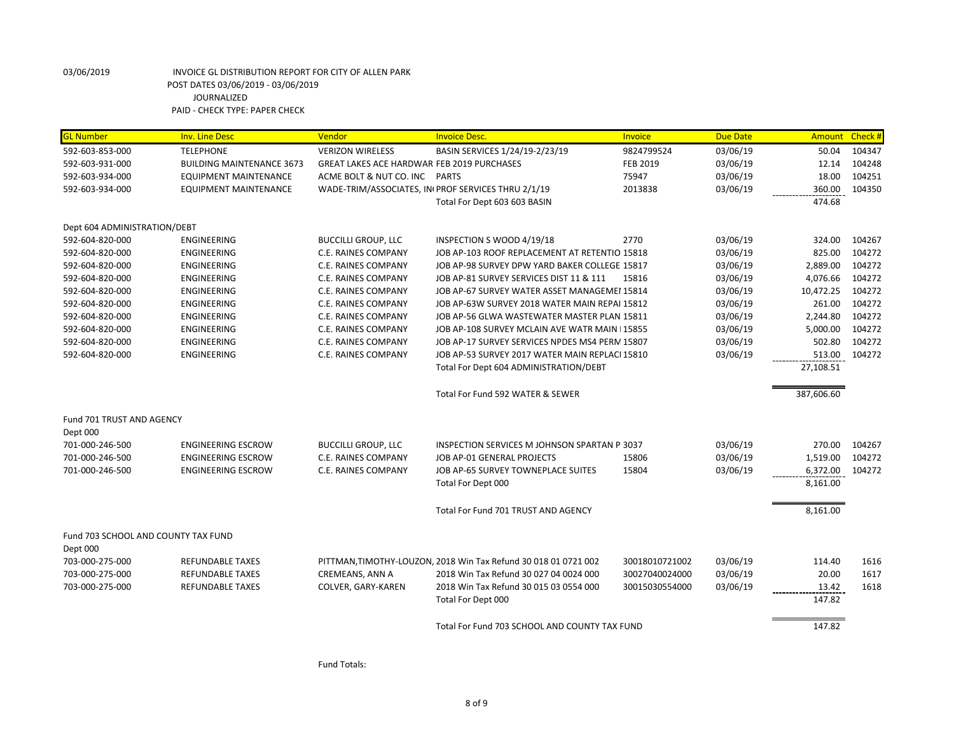| <b>GL Number</b>                                | <b>Inv. Line Desc</b>            | Vendor                                            | <b>Invoice Desc.</b>                                            | <b>Invoice</b>  | <b>Due Date</b> |            | Amount Check # |
|-------------------------------------------------|----------------------------------|---------------------------------------------------|-----------------------------------------------------------------|-----------------|-----------------|------------|----------------|
| 592-603-853-000                                 | <b>TELEPHONE</b>                 | <b>VERIZON WIRELESS</b>                           | BASIN SERVICES 1/24/19-2/23/19                                  | 9824799524      | 03/06/19        | 50.04      | 104347         |
| 592-603-931-000                                 | <b>BUILDING MAINTENANCE 3673</b> | <b>GREAT LAKES ACE HARDWAR FEB 2019 PURCHASES</b> |                                                                 | <b>FEB 2019</b> | 03/06/19        | 12.14      | 104248         |
| 592-603-934-000                                 | <b>EQUIPMENT MAINTENANCE</b>     | ACME BOLT & NUT CO. INC PARTS                     |                                                                 | 75947           | 03/06/19        | 18.00      | 104251         |
| 592-603-934-000                                 | EQUIPMENT MAINTENANCE            |                                                   | WADE-TRIM/ASSOCIATES, IN PROF SERVICES THRU 2/1/19              | 2013838         | 03/06/19        | 360.00     | 104350         |
|                                                 |                                  |                                                   | Total For Dept 603 603 BASIN                                    |                 |                 | 474.68     |                |
| Dept 604 ADMINISTRATION/DEBT                    |                                  |                                                   |                                                                 |                 |                 |            |                |
| 592-604-820-000                                 | ENGINEERING                      | <b>BUCCILLI GROUP, LLC</b>                        | INSPECTION S WOOD 4/19/18                                       | 2770            | 03/06/19        | 324.00     | 104267         |
| 592-604-820-000                                 | <b>ENGINEERING</b>               | C.E. RAINES COMPANY                               | JOB AP-103 ROOF REPLACEMENT AT RETENTIO 15818                   |                 | 03/06/19        | 825.00     | 104272         |
| 592-604-820-000                                 | ENGINEERING                      | C.E. RAINES COMPANY                               | JOB AP-98 SURVEY DPW YARD BAKER COLLEGE 15817                   |                 | 03/06/19        | 2,889.00   | 104272         |
| 592-604-820-000                                 | <b>ENGINEERING</b>               | <b>C.E. RAINES COMPANY</b>                        | JOB AP-81 SURVEY SERVICES DIST 11 & 111                         | 15816           | 03/06/19        | 4,076.66   | 104272         |
| 592-604-820-000                                 | ENGINEERING                      | C.E. RAINES COMPANY                               | JOB AP-67 SURVEY WATER ASSET MANAGEMEI 15814                    |                 | 03/06/19        | 10,472.25  | 104272         |
| 592-604-820-000                                 | ENGINEERING                      | C.E. RAINES COMPANY                               | JOB AP-63W SURVEY 2018 WATER MAIN REPAI 15812                   |                 | 03/06/19        | 261.00     | 104272         |
| 592-604-820-000                                 | <b>ENGINEERING</b>               | C.E. RAINES COMPANY                               | JOB AP-56 GLWA WASTEWATER MASTER PLAN 15811                     |                 | 03/06/19        | 2,244.80   | 104272         |
| 592-604-820-000                                 | ENGINEERING                      | C.E. RAINES COMPANY                               | JOB AP-108 SURVEY MCLAIN AVE WATR MAIN   15855                  |                 | 03/06/19        | 5,000.00   | 104272         |
| 592-604-820-000                                 | ENGINEERING                      | C.E. RAINES COMPANY                               | JOB AP-17 SURVEY SERVICES NPDES MS4 PERM 15807                  |                 | 03/06/19        | 502.80     | 104272         |
| 592-604-820-000                                 | ENGINEERING                      | C.E. RAINES COMPANY                               | JOB AP-53 SURVEY 2017 WATER MAIN REPLACI 15810                  |                 | 03/06/19        | 513.00     | 104272         |
|                                                 |                                  |                                                   | Total For Dept 604 ADMINISTRATION/DEBT                          |                 |                 | 27,108.51  |                |
|                                                 |                                  |                                                   | Total For Fund 592 WATER & SEWER                                |                 |                 | 387,606.60 |                |
| Fund 701 TRUST AND AGENCY                       |                                  |                                                   |                                                                 |                 |                 |            |                |
| Dept 000                                        |                                  |                                                   |                                                                 |                 |                 |            |                |
| 701-000-246-500                                 | <b>ENGINEERING ESCROW</b>        | <b>BUCCILLI GROUP, LLC</b>                        | INSPECTION SERVICES M JOHNSON SPARTAN P 3037                    |                 | 03/06/19        | 270.00     | 104267         |
| 701-000-246-500                                 | <b>ENGINEERING ESCROW</b>        | <b>C.E. RAINES COMPANY</b>                        | JOB AP-01 GENERAL PROJECTS                                      | 15806           | 03/06/19        | 1,519.00   | 104272         |
| 701-000-246-500                                 | <b>ENGINEERING ESCROW</b>        | C.E. RAINES COMPANY                               | JOB AP-65 SURVEY TOWNEPLACE SUITES                              | 15804           | 03/06/19        | 6,372.00   | 104272         |
|                                                 |                                  |                                                   | Total For Dept 000                                              |                 |                 | 8,161.00   |                |
|                                                 |                                  |                                                   | Total For Fund 701 TRUST AND AGENCY                             |                 |                 | 8,161.00   |                |
| Fund 703 SCHOOL AND COUNTY TAX FUND<br>Dept 000 |                                  |                                                   |                                                                 |                 |                 |            |                |
| 703-000-275-000                                 | <b>REFUNDABLE TAXES</b>          |                                                   | PITTMAN, TIMOTHY-LOUZON, 2018 Win Tax Refund 30 018 01 0721 002 | 30018010721002  | 03/06/19        | 114.40     | 1616           |
| 703-000-275-000                                 | <b>REFUNDABLE TAXES</b>          | CREMEANS, ANN A                                   | 2018 Win Tax Refund 30 027 04 0024 000                          | 30027040024000  | 03/06/19        | 20.00      | 1617           |
| 703-000-275-000                                 | <b>REFUNDABLE TAXES</b>          | COLVER, GARY-KAREN                                | 2018 Win Tax Refund 30 015 03 0554 000                          | 30015030554000  | 03/06/19        | 13.42      | 1618           |
|                                                 |                                  |                                                   | Total For Dept 000                                              |                 |                 | 147.82     |                |
|                                                 |                                  |                                                   | Total For Fund 703 SCHOOL AND COUNTY TAX FUND                   |                 |                 | 147.82     |                |
|                                                 |                                  |                                                   |                                                                 |                 |                 |            |                |

Fund Totals: